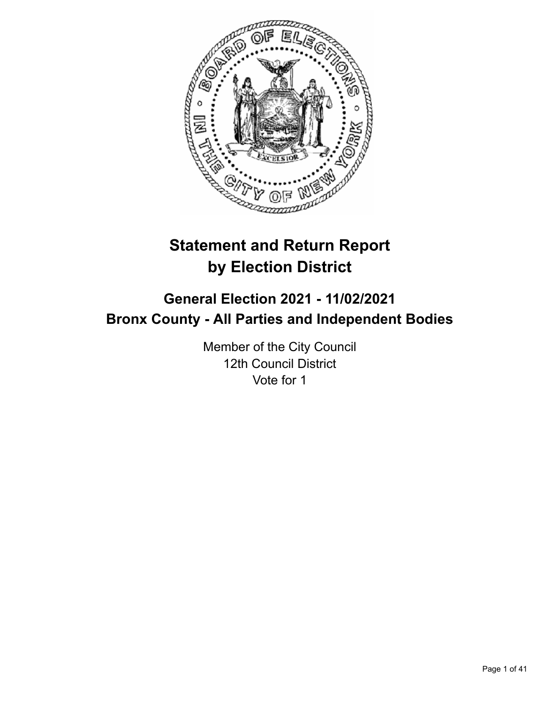

# **Statement and Return Report by Election District**

# **General Election 2021 - 11/02/2021 Bronx County - All Parties and Independent Bodies**

Member of the City Council 12th Council District Vote for 1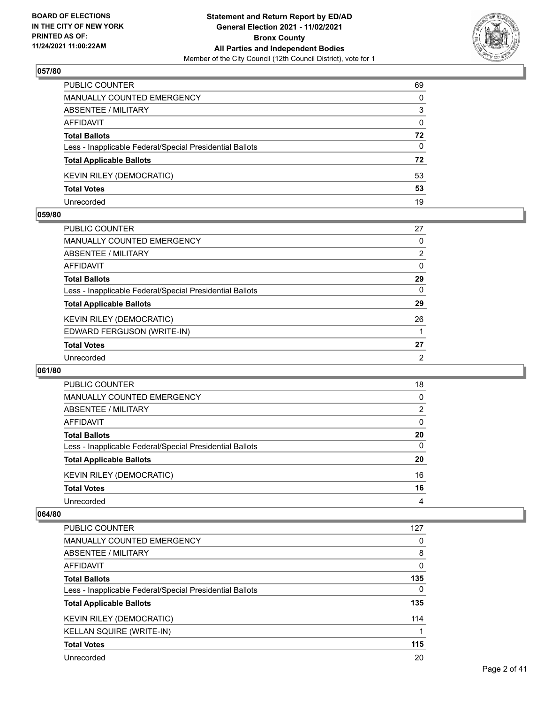

| PUBLIC COUNTER                                           | 69           |
|----------------------------------------------------------|--------------|
| MANUALLY COUNTED EMERGENCY                               | 0            |
| ABSENTEE / MILITARY                                      | 3            |
| AFFIDAVIT                                                | $\mathbf{0}$ |
| <b>Total Ballots</b>                                     | 72           |
| Less - Inapplicable Federal/Special Presidential Ballots | 0            |
| <b>Total Applicable Ballots</b>                          | 72           |
| <b>KEVIN RILEY (DEMOCRATIC)</b>                          | 53           |
| <b>Total Votes</b>                                       | 53           |
| Unrecorded                                               | 19           |

## **059/80**

| PUBLIC COUNTER                                           | 27             |
|----------------------------------------------------------|----------------|
| <b>MANUALLY COUNTED EMERGENCY</b>                        | 0              |
| ABSENTEE / MILITARY                                      | $\overline{2}$ |
| <b>AFFIDAVIT</b>                                         | $\Omega$       |
| <b>Total Ballots</b>                                     | 29             |
| Less - Inapplicable Federal/Special Presidential Ballots | $\Omega$       |
| <b>Total Applicable Ballots</b>                          | 29             |
| <b>KEVIN RILEY (DEMOCRATIC)</b>                          | 26             |
| EDWARD FERGUSON (WRITE-IN)                               |                |
| <b>Total Votes</b>                                       | 27             |
| Unrecorded                                               | $\overline{2}$ |
|                                                          |                |

## **061/80**

| PUBLIC COUNTER                                           | 18       |
|----------------------------------------------------------|----------|
| <b>MANUALLY COUNTED EMERGENCY</b>                        | $\Omega$ |
| ABSENTEE / MILITARY                                      | 2        |
| AFFIDAVIT                                                | $\Omega$ |
| <b>Total Ballots</b>                                     | 20       |
| Less - Inapplicable Federal/Special Presidential Ballots | $\Omega$ |
| <b>Total Applicable Ballots</b>                          | 20       |
| <b>KEVIN RILEY (DEMOCRATIC)</b>                          | 16       |
| <b>Total Votes</b>                                       | 16       |
| Unrecorded                                               | 4        |

| <b>PUBLIC COUNTER</b>                                    | 127      |
|----------------------------------------------------------|----------|
| <b>MANUALLY COUNTED EMERGENCY</b>                        | 0        |
| ABSENTEE / MILITARY                                      | 8        |
| AFFIDAVIT                                                | 0        |
| <b>Total Ballots</b>                                     | 135      |
| Less - Inapplicable Federal/Special Presidential Ballots | $\Omega$ |
| <b>Total Applicable Ballots</b>                          | 135      |
| <b>KEVIN RILEY (DEMOCRATIC)</b>                          | 114      |
| KELLAN SQUIRE (WRITE-IN)                                 |          |
| <b>Total Votes</b>                                       | 115      |
| Unrecorded                                               | 20       |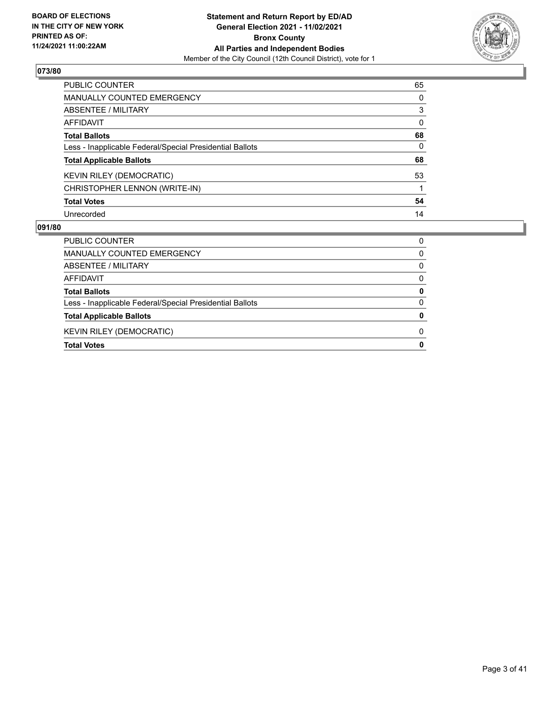

| PUBLIC COUNTER                                           | 65       |
|----------------------------------------------------------|----------|
| <b>MANUALLY COUNTED EMERGENCY</b>                        | 0        |
| <b>ABSENTEE / MILITARY</b>                               | 3        |
| AFFIDAVIT                                                | $\Omega$ |
| <b>Total Ballots</b>                                     | 68       |
| Less - Inapplicable Federal/Special Presidential Ballots | 0        |
| <b>Total Applicable Ballots</b>                          | 68       |
| KEVIN RILEY (DEMOCRATIC)                                 | 53       |
| CHRISTOPHER LENNON (WRITE-IN)                            |          |
| <b>Total Votes</b>                                       | 54       |
| Unrecorded                                               | 14       |

| PUBLIC COUNTER                                           | 0        |
|----------------------------------------------------------|----------|
| MANUALLY COUNTED EMERGENCY                               | 0        |
| ABSENTEE / MILITARY                                      | 0        |
| AFFIDAVIT                                                | $\Omega$ |
| <b>Total Ballots</b>                                     | 0        |
| Less - Inapplicable Federal/Special Presidential Ballots | 0        |
| <b>Total Applicable Ballots</b>                          | O        |
| <b>KEVIN RILEY (DEMOCRATIC)</b>                          | O        |
| <b>Total Votes</b>                                       | 0        |
|                                                          |          |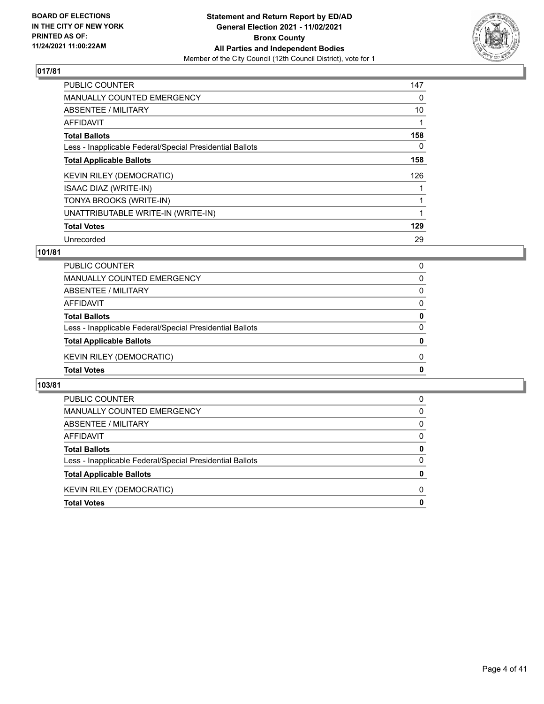

| <b>PUBLIC COUNTER</b>                                    | 147 |
|----------------------------------------------------------|-----|
| <b>MANUALLY COUNTED EMERGENCY</b>                        | 0   |
| ABSENTEE / MILITARY                                      | 10  |
| AFFIDAVIT                                                |     |
| <b>Total Ballots</b>                                     | 158 |
| Less - Inapplicable Federal/Special Presidential Ballots | 0   |
| <b>Total Applicable Ballots</b>                          | 158 |
| <b>KEVIN RILEY (DEMOCRATIC)</b>                          | 126 |
| ISAAC DIAZ (WRITE-IN)                                    |     |
| TONYA BROOKS (WRITE-IN)                                  |     |
| UNATTRIBUTABLE WRITE-IN (WRITE-IN)                       |     |
| <b>Total Votes</b>                                       | 129 |
| Unrecorded                                               | 29  |

# **101/81**

| PUBLIC COUNTER                                           | 0            |
|----------------------------------------------------------|--------------|
| MANUALLY COUNTED EMERGENCY                               | $\Omega$     |
| ABSENTEE / MILITARY                                      | 0            |
| <b>AFFIDAVIT</b>                                         | 0            |
| <b>Total Ballots</b>                                     | $\mathbf{0}$ |
| Less - Inapplicable Federal/Special Presidential Ballots | $\Omega$     |
| <b>Total Applicable Ballots</b>                          | 0            |
| <b>KEVIN RILEY (DEMOCRATIC)</b>                          | 0            |
| <b>Total Votes</b>                                       | $\mathbf{0}$ |

| PUBLIC COUNTER                                           | 0            |
|----------------------------------------------------------|--------------|
| MANUALLY COUNTED EMERGENCY                               | 0            |
| ABSENTEE / MILITARY                                      | $\Omega$     |
| AFFIDAVIT                                                | 0            |
| <b>Total Ballots</b>                                     | 0            |
| Less - Inapplicable Federal/Special Presidential Ballots | $\Omega$     |
| <b>Total Applicable Ballots</b>                          | 0            |
| <b>KEVIN RILEY (DEMOCRATIC)</b>                          | <sup>0</sup> |
| <b>Total Votes</b>                                       | 0            |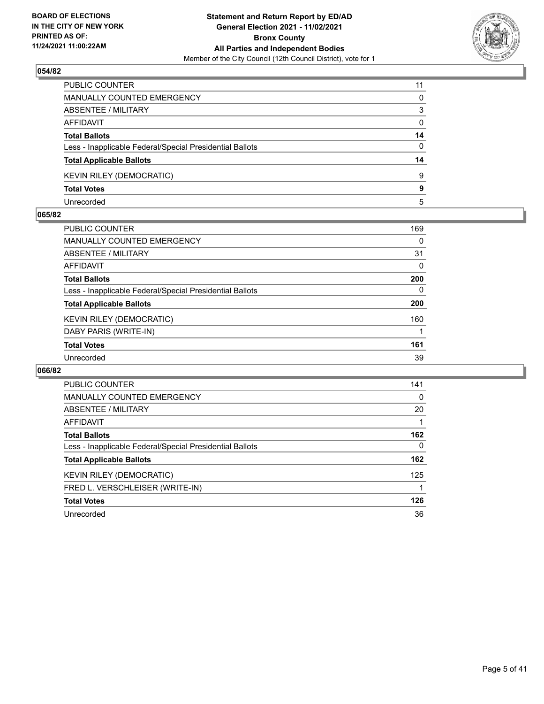

| PUBLIC COUNTER                                           | 11 |
|----------------------------------------------------------|----|
| <b>MANUALLY COUNTED EMERGENCY</b>                        | 0  |
| ABSENTEE / MILITARY                                      | 3  |
| <b>AFFIDAVIT</b>                                         | 0  |
| <b>Total Ballots</b>                                     | 14 |
| Less - Inapplicable Federal/Special Presidential Ballots | 0  |
| <b>Total Applicable Ballots</b>                          | 14 |
| <b>KEVIN RILEY (DEMOCRATIC)</b>                          | 9  |
| <b>Total Votes</b>                                       | 9  |
| Unrecorded                                               | 5  |

## **065/82**

| PUBLIC COUNTER                                           | 169 |
|----------------------------------------------------------|-----|
| MANUALLY COUNTED EMERGENCY                               | 0   |
| <b>ABSENTEE / MILITARY</b>                               | 31  |
| AFFIDAVIT                                                | 0   |
| <b>Total Ballots</b>                                     | 200 |
| Less - Inapplicable Federal/Special Presidential Ballots | 0   |
| <b>Total Applicable Ballots</b>                          | 200 |
| KEVIN RILEY (DEMOCRATIC)                                 | 160 |
| DABY PARIS (WRITE-IN)                                    |     |
| <b>Total Votes</b>                                       | 161 |
| Unrecorded                                               | 39  |
|                                                          |     |

| PUBLIC COUNTER                                           | 141      |
|----------------------------------------------------------|----------|
| MANUALLY COUNTED EMERGENCY                               | 0        |
| ABSENTEE / MILITARY                                      | 20       |
| AFFIDAVIT                                                |          |
| <b>Total Ballots</b>                                     | 162      |
| Less - Inapplicable Federal/Special Presidential Ballots | $\Omega$ |
| <b>Total Applicable Ballots</b>                          | 162      |
| <b>KEVIN RILEY (DEMOCRATIC)</b>                          | 125      |
| FRED L. VERSCHLEISER (WRITE-IN)                          |          |
| <b>Total Votes</b>                                       | 126      |
| Unrecorded                                               | 36       |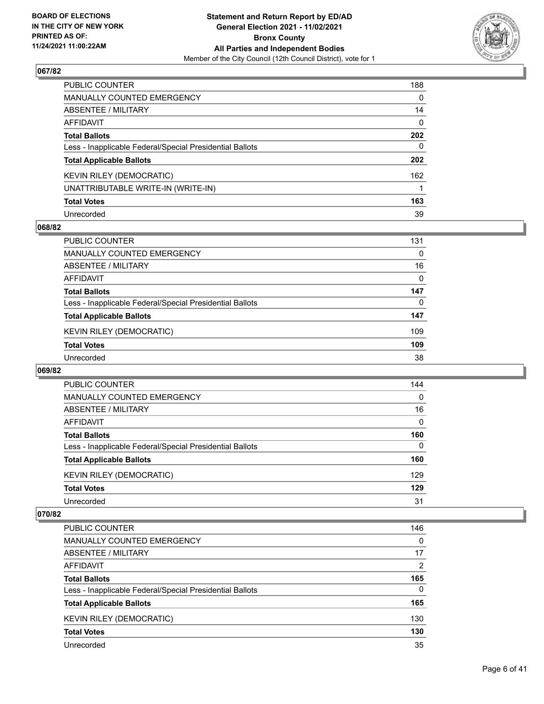

| PUBLIC COUNTER                                           | 188          |
|----------------------------------------------------------|--------------|
| <b>MANUALLY COUNTED EMERGENCY</b>                        | 0            |
| ABSENTEE / MILITARY                                      | 14           |
| AFFIDAVIT                                                | $\mathbf{0}$ |
| <b>Total Ballots</b>                                     | 202          |
| Less - Inapplicable Federal/Special Presidential Ballots | $\Omega$     |
| <b>Total Applicable Ballots</b>                          | 202          |
| KEVIN RILEY (DEMOCRATIC)                                 | 162          |
| UNATTRIBUTABLE WRITE-IN (WRITE-IN)                       |              |
| <b>Total Votes</b>                                       | 163          |
| Unrecorded                                               | 39           |

# **068/82**

| PUBLIC COUNTER                                           | 131 |
|----------------------------------------------------------|-----|
| MANUALLY COUNTED EMERGENCY                               | 0   |
| ABSENTEE / MILITARY                                      | 16  |
| AFFIDAVIT                                                | 0   |
| <b>Total Ballots</b>                                     | 147 |
| Less - Inapplicable Federal/Special Presidential Ballots | 0   |
| <b>Total Applicable Ballots</b>                          | 147 |
| KEVIN RILEY (DEMOCRATIC)                                 | 109 |
| <b>Total Votes</b>                                       | 109 |
| Unrecorded                                               | 38  |

## **069/82**

| <b>PUBLIC COUNTER</b>                                    | 144      |
|----------------------------------------------------------|----------|
| <b>MANUALLY COUNTED EMERGENCY</b>                        | $\Omega$ |
| ABSENTEE / MILITARY                                      | 16       |
| AFFIDAVIT                                                | $\Omega$ |
| <b>Total Ballots</b>                                     | 160      |
| Less - Inapplicable Federal/Special Presidential Ballots | $\Omega$ |
| <b>Total Applicable Ballots</b>                          | 160      |
| <b>KEVIN RILEY (DEMOCRATIC)</b>                          | 129      |
| <b>Total Votes</b>                                       | 129      |
| Unrecorded                                               | 31       |

| PUBLIC COUNTER                                           | 146      |
|----------------------------------------------------------|----------|
| <b>MANUALLY COUNTED EMERGENCY</b>                        | $\Omega$ |
| ABSENTEE / MILITARY                                      | 17       |
| AFFIDAVIT                                                | 2        |
| <b>Total Ballots</b>                                     | 165      |
| Less - Inapplicable Federal/Special Presidential Ballots | $\Omega$ |
| <b>Total Applicable Ballots</b>                          | 165      |
| <b>KEVIN RILEY (DEMOCRATIC)</b>                          | 130      |
| <b>Total Votes</b>                                       | 130      |
| Unrecorded                                               | 35       |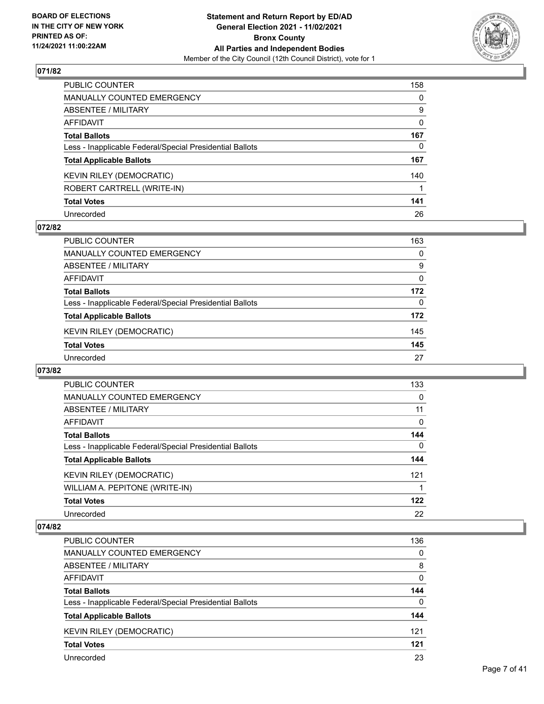

| PUBLIC COUNTER                                           | 158          |
|----------------------------------------------------------|--------------|
| <b>MANUALLY COUNTED EMERGENCY</b>                        | $\Omega$     |
| <b>ABSENTEE / MILITARY</b>                               | 9            |
| <b>AFFIDAVIT</b>                                         | $\mathbf{0}$ |
| <b>Total Ballots</b>                                     | 167          |
| Less - Inapplicable Federal/Special Presidential Ballots | 0            |
| <b>Total Applicable Ballots</b>                          | 167          |
| <b>KEVIN RILEY (DEMOCRATIC)</b>                          | 140          |
| ROBERT CARTRELL (WRITE-IN)                               |              |
| <b>Total Votes</b>                                       | 141          |
| Unrecorded                                               | 26           |

# **072/82**

| <b>PUBLIC COUNTER</b>                                    | 163      |
|----------------------------------------------------------|----------|
| MANUALLY COUNTED EMERGENCY                               | 0        |
| ABSENTEE / MILITARY                                      | 9        |
| AFFIDAVIT                                                | $\Omega$ |
| <b>Total Ballots</b>                                     | 172      |
| Less - Inapplicable Federal/Special Presidential Ballots | 0        |
| <b>Total Applicable Ballots</b>                          | 172      |
| <b>KEVIN RILEY (DEMOCRATIC)</b>                          | 145      |
| <b>Total Votes</b>                                       | 145      |
| Unrecorded                                               | 27       |

## **073/82**

| PUBLIC COUNTER                                           | 133      |
|----------------------------------------------------------|----------|
| <b>MANUALLY COUNTED EMERGENCY</b>                        | 0        |
| ABSENTEE / MILITARY                                      | 11       |
| <b>AFFIDAVIT</b>                                         | 0        |
| <b>Total Ballots</b>                                     | 144      |
| Less - Inapplicable Federal/Special Presidential Ballots | $\Omega$ |
| <b>Total Applicable Ballots</b>                          | 144      |
| <b>KEVIN RILEY (DEMOCRATIC)</b>                          | 121      |
| WILLIAM A. PEPITONE (WRITE-IN)                           |          |
| <b>Total Votes</b>                                       | 122      |
| Unrecorded                                               | 22       |

| <b>PUBLIC COUNTER</b>                                    | 136      |
|----------------------------------------------------------|----------|
| MANUALLY COUNTED EMERGENCY                               | 0        |
| ABSENTEE / MILITARY                                      | 8        |
| AFFIDAVIT                                                | $\Omega$ |
| <b>Total Ballots</b>                                     | 144      |
| Less - Inapplicable Federal/Special Presidential Ballots | $\Omega$ |
| <b>Total Applicable Ballots</b>                          | 144      |
| <b>KEVIN RILEY (DEMOCRATIC)</b>                          | 121      |
| <b>Total Votes</b>                                       | 121      |
| Unrecorded                                               | 23       |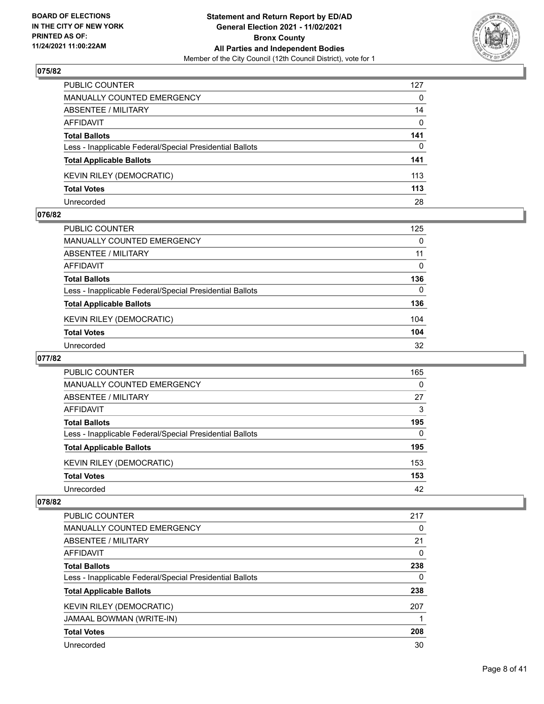

| PUBLIC COUNTER                                           | 127          |
|----------------------------------------------------------|--------------|
| <b>MANUALLY COUNTED EMERGENCY</b>                        | $\Omega$     |
| <b>ABSENTEE / MILITARY</b>                               | 14           |
| AFFIDAVIT                                                | $\mathbf{0}$ |
| <b>Total Ballots</b>                                     | 141          |
| Less - Inapplicable Federal/Special Presidential Ballots | $\Omega$     |
| <b>Total Applicable Ballots</b>                          | 141          |
| <b>KEVIN RILEY (DEMOCRATIC)</b>                          | 113          |
| <b>Total Votes</b>                                       | 113          |
| Unrecorded                                               | 28           |

## **076/82**

| PUBLIC COUNTER                                           | 125      |
|----------------------------------------------------------|----------|
| <b>MANUALLY COUNTED EMERGENCY</b>                        | 0        |
| ABSENTEE / MILITARY                                      | 11       |
| AFFIDAVIT                                                | 0        |
| <b>Total Ballots</b>                                     | 136      |
| Less - Inapplicable Federal/Special Presidential Ballots | $\Omega$ |
| <b>Total Applicable Ballots</b>                          | 136      |
| <b>KEVIN RILEY (DEMOCRATIC)</b>                          | 104      |
| <b>Total Votes</b>                                       | 104      |
| Unrecorded                                               | 32       |
|                                                          |          |

# **077/82**

| PUBLIC COUNTER                                           | 165      |
|----------------------------------------------------------|----------|
| <b>MANUALLY COUNTED EMERGENCY</b>                        | $\Omega$ |
| ABSENTEE / MILITARY                                      | 27       |
| AFFIDAVIT                                                | 3        |
| <b>Total Ballots</b>                                     | 195      |
| Less - Inapplicable Federal/Special Presidential Ballots | 0        |
| <b>Total Applicable Ballots</b>                          | 195      |
| KEVIN RILEY (DEMOCRATIC)                                 | 153      |
| <b>Total Votes</b>                                       | 153      |
| Unrecorded                                               | 42       |

| <b>PUBLIC COUNTER</b>                                    | 217 |
|----------------------------------------------------------|-----|
| <b>MANUALLY COUNTED EMERGENCY</b>                        | 0   |
| ABSENTEE / MILITARY                                      | 21  |
| AFFIDAVIT                                                | 0   |
| <b>Total Ballots</b>                                     | 238 |
| Less - Inapplicable Federal/Special Presidential Ballots | 0   |
| <b>Total Applicable Ballots</b>                          | 238 |
| <b>KEVIN RILEY (DEMOCRATIC)</b>                          | 207 |
| JAMAAL BOWMAN (WRITE-IN)                                 |     |
| <b>Total Votes</b>                                       | 208 |
| Unrecorded                                               | 30  |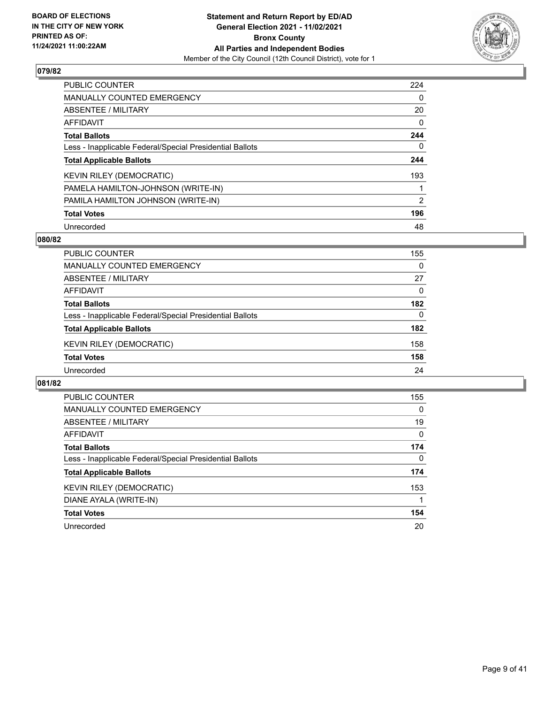

| <b>PUBLIC COUNTER</b>                                    | 224      |
|----------------------------------------------------------|----------|
| <b>MANUALLY COUNTED EMERGENCY</b>                        | 0        |
| ABSENTEE / MILITARY                                      | 20       |
| <b>AFFIDAVIT</b>                                         | $\Omega$ |
| <b>Total Ballots</b>                                     | 244      |
| Less - Inapplicable Federal/Special Presidential Ballots | 0        |
| <b>Total Applicable Ballots</b>                          | 244      |
| <b>KEVIN RILEY (DEMOCRATIC)</b>                          | 193      |
| PAMELA HAMILTON-JOHNSON (WRITE-IN)                       |          |
| PAMILA HAMILTON JOHNSON (WRITE-IN)                       | 2        |
| <b>Total Votes</b>                                       | 196      |
| Unrecorded                                               | 48       |

## **080/82**

| <b>PUBLIC COUNTER</b>                                    | 155      |
|----------------------------------------------------------|----------|
| <b>MANUALLY COUNTED EMERGENCY</b>                        | $\Omega$ |
| ABSENTEE / MILITARY                                      | 27       |
| AFFIDAVIT                                                | $\Omega$ |
| <b>Total Ballots</b>                                     | 182      |
| Less - Inapplicable Federal/Special Presidential Ballots | 0        |
| <b>Total Applicable Ballots</b>                          | 182      |
| <b>KEVIN RILEY (DEMOCRATIC)</b>                          | 158      |
| <b>Total Votes</b>                                       | 158      |
| Unrecorded                                               | 24       |

| <b>PUBLIC COUNTER</b>                                    | 155      |
|----------------------------------------------------------|----------|
| <b>MANUALLY COUNTED EMERGENCY</b>                        | $\Omega$ |
| ABSENTEE / MILITARY                                      | 19       |
| AFFIDAVIT                                                | $\Omega$ |
| <b>Total Ballots</b>                                     | 174      |
| Less - Inapplicable Federal/Special Presidential Ballots | $\Omega$ |
| <b>Total Applicable Ballots</b>                          | 174      |
| <b>KEVIN RILEY (DEMOCRATIC)</b>                          | 153      |
| DIANE AYALA (WRITE-IN)                                   |          |
| <b>Total Votes</b>                                       | 154      |
| Unrecorded                                               | 20       |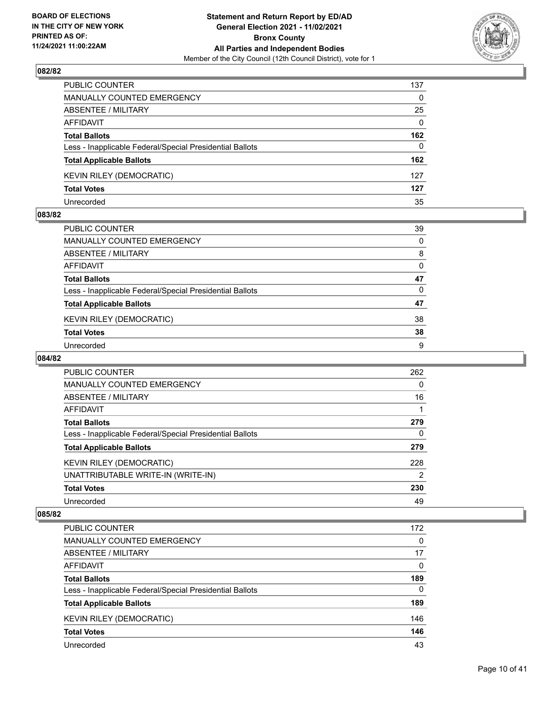

| PUBLIC COUNTER                                           | 137          |
|----------------------------------------------------------|--------------|
| <b>MANUALLY COUNTED EMERGENCY</b>                        | $\Omega$     |
| ABSENTEE / MILITARY                                      | 25           |
| AFFIDAVIT                                                | $\mathbf{0}$ |
| <b>Total Ballots</b>                                     | 162          |
| Less - Inapplicable Federal/Special Presidential Ballots | $\Omega$     |
| <b>Total Applicable Ballots</b>                          | 162          |
| <b>KEVIN RILEY (DEMOCRATIC)</b>                          | 127          |
| <b>Total Votes</b>                                       | 127          |
| Unrecorded                                               | 35           |

## **083/82**

| PUBLIC COUNTER                                           | 39       |
|----------------------------------------------------------|----------|
| <b>MANUALLY COUNTED EMERGENCY</b>                        | $\Omega$ |
| <b>ABSENTEE / MILITARY</b>                               | 8        |
| AFFIDAVIT                                                | 0        |
| <b>Total Ballots</b>                                     | 47       |
| Less - Inapplicable Federal/Special Presidential Ballots | $\Omega$ |
| <b>Total Applicable Ballots</b>                          | 47       |
| KEVIN RILEY (DEMOCRATIC)                                 | 38       |
| <b>Total Votes</b>                                       | 38       |
| Unrecorded                                               | 9        |

# **084/82**

| PUBLIC COUNTER                                           | 262            |
|----------------------------------------------------------|----------------|
| <b>MANUALLY COUNTED EMERGENCY</b>                        | $\Omega$       |
| ABSENTEE / MILITARY                                      | 16             |
| <b>AFFIDAVIT</b>                                         |                |
| <b>Total Ballots</b>                                     | 279            |
| Less - Inapplicable Federal/Special Presidential Ballots | $\Omega$       |
| <b>Total Applicable Ballots</b>                          | 279            |
| <b>KEVIN RILEY (DEMOCRATIC)</b>                          | 228            |
| UNATTRIBUTABLE WRITE-IN (WRITE-IN)                       | $\overline{2}$ |
| <b>Total Votes</b>                                       | 230            |
| Unrecorded                                               | 49             |

| PUBLIC COUNTER                                           | 172      |
|----------------------------------------------------------|----------|
| <b>MANUALLY COUNTED EMERGENCY</b>                        | 0        |
| ABSENTEE / MILITARY                                      | 17       |
| AFFIDAVIT                                                | $\Omega$ |
| <b>Total Ballots</b>                                     | 189      |
| Less - Inapplicable Federal/Special Presidential Ballots | $\Omega$ |
| <b>Total Applicable Ballots</b>                          | 189      |
| KEVIN RILEY (DEMOCRATIC)                                 | 146      |
| <b>Total Votes</b>                                       | 146      |
| Unrecorded                                               | 43       |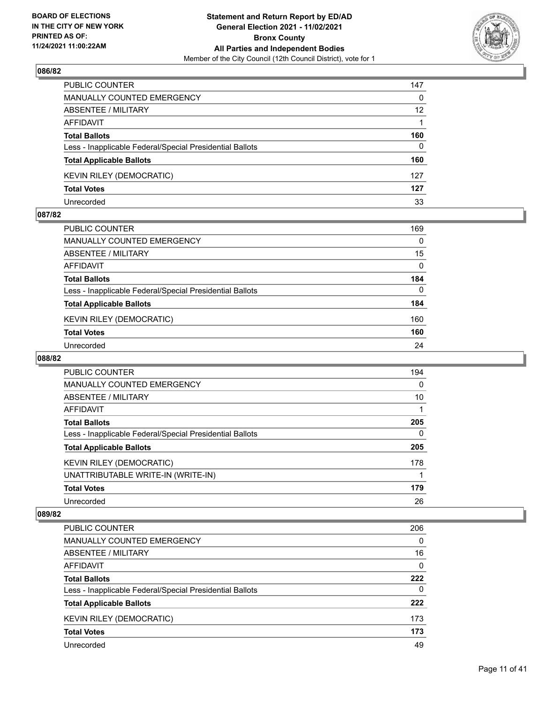

| PUBLIC COUNTER                                           | 147      |
|----------------------------------------------------------|----------|
| <b>MANUALLY COUNTED EMERGENCY</b>                        | 0        |
| <b>ABSENTEE / MILITARY</b>                               | 12       |
| AFFIDAVIT                                                |          |
| <b>Total Ballots</b>                                     | 160      |
| Less - Inapplicable Federal/Special Presidential Ballots | $\Omega$ |
| <b>Total Applicable Ballots</b>                          | 160      |
| <b>KEVIN RILEY (DEMOCRATIC)</b>                          | 127      |
| <b>Total Votes</b>                                       | 127      |
| Unrecorded                                               | 33       |

## **087/82**

| PUBLIC COUNTER                                           | 169      |
|----------------------------------------------------------|----------|
| MANUALLY COUNTED EMERGENCY                               | $\Omega$ |
| ABSENTEE / MILITARY                                      | 15       |
| AFFIDAVIT                                                | $\Omega$ |
| <b>Total Ballots</b>                                     | 184      |
| Less - Inapplicable Federal/Special Presidential Ballots | $\Omega$ |
| <b>Total Applicable Ballots</b>                          | 184      |
| <b>KEVIN RILEY (DEMOCRATIC)</b>                          | 160      |
| <b>Total Votes</b>                                       | 160      |
| Unrecorded                                               | 24       |
|                                                          |          |

# **088/82**

| PUBLIC COUNTER                                           | 194          |
|----------------------------------------------------------|--------------|
| <b>MANUALLY COUNTED EMERGENCY</b>                        | $\Omega$     |
| ABSENTEE / MILITARY                                      | 10           |
| <b>AFFIDAVIT</b>                                         |              |
| <b>Total Ballots</b>                                     | 205          |
| Less - Inapplicable Federal/Special Presidential Ballots | $\mathbf{0}$ |
| <b>Total Applicable Ballots</b>                          | 205          |
| <b>KEVIN RILEY (DEMOCRATIC)</b>                          | 178          |
| UNATTRIBUTABLE WRITE-IN (WRITE-IN)                       |              |
| <b>Total Votes</b>                                       | 179          |
| Unrecorded                                               | 26           |

| PUBLIC COUNTER                                           | 206      |
|----------------------------------------------------------|----------|
| <b>MANUALLY COUNTED EMERGENCY</b>                        | $\Omega$ |
| ABSENTEE / MILITARY                                      | 16       |
| AFFIDAVIT                                                | $\Omega$ |
| <b>Total Ballots</b>                                     | 222      |
| Less - Inapplicable Federal/Special Presidential Ballots | $\Omega$ |
| <b>Total Applicable Ballots</b>                          | 222      |
| <b>KEVIN RILEY (DEMOCRATIC)</b>                          | 173      |
| <b>Total Votes</b>                                       | 173      |
| Unrecorded                                               | 49       |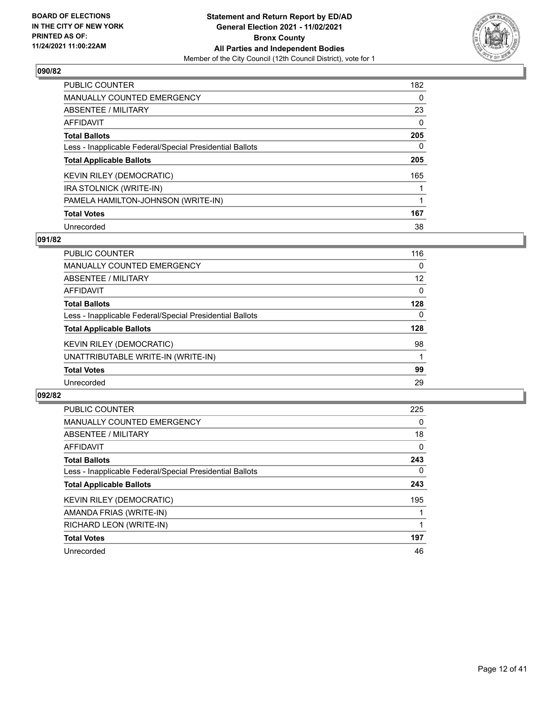

| <b>PUBLIC COUNTER</b>                                    | 182      |
|----------------------------------------------------------|----------|
| <b>MANUALLY COUNTED EMERGENCY</b>                        | $\Omega$ |
| ABSENTEE / MILITARY                                      | 23       |
| AFFIDAVIT                                                | $\Omega$ |
| <b>Total Ballots</b>                                     | 205      |
| Less - Inapplicable Federal/Special Presidential Ballots | 0        |
| <b>Total Applicable Ballots</b>                          | 205      |
| <b>KEVIN RILEY (DEMOCRATIC)</b>                          | 165      |
| IRA STOLNICK (WRITE-IN)                                  |          |
| PAMELA HAMILTON-JOHNSON (WRITE-IN)                       |          |
| <b>Total Votes</b>                                       | 167      |
| Unrecorded                                               | 38       |

## **091/82**

| <b>PUBLIC COUNTER</b>                                    | 116      |
|----------------------------------------------------------|----------|
| MANUALLY COUNTED EMERGENCY                               | $\Omega$ |
| ABSENTEE / MILITARY                                      | 12       |
| AFFIDAVIT                                                | $\Omega$ |
| <b>Total Ballots</b>                                     | 128      |
| Less - Inapplicable Federal/Special Presidential Ballots | $\Omega$ |
| <b>Total Applicable Ballots</b>                          | 128      |
| <b>KEVIN RILEY (DEMOCRATIC)</b>                          | 98       |
| UNATTRIBUTABLE WRITE-IN (WRITE-IN)                       |          |
| <b>Total Votes</b>                                       | 99       |
| Unrecorded                                               | 29       |

| <b>PUBLIC COUNTER</b>                                    | 225      |
|----------------------------------------------------------|----------|
| <b>MANUALLY COUNTED EMERGENCY</b>                        | 0        |
| ABSENTEE / MILITARY                                      | 18       |
| AFFIDAVIT                                                | 0        |
| <b>Total Ballots</b>                                     | 243      |
| Less - Inapplicable Federal/Special Presidential Ballots | $\Omega$ |
| <b>Total Applicable Ballots</b>                          | 243      |
| <b>KEVIN RILEY (DEMOCRATIC)</b>                          | 195      |
| AMANDA FRIAS (WRITE-IN)                                  |          |
| RICHARD LEON (WRITE-IN)                                  |          |
| <b>Total Votes</b>                                       | 197      |
| Unrecorded                                               | 46       |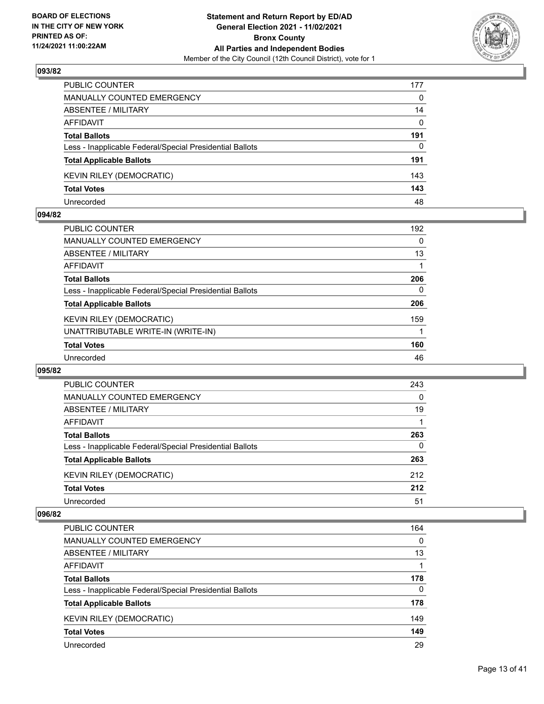

| PUBLIC COUNTER                                           | 177      |
|----------------------------------------------------------|----------|
| <b>MANUALLY COUNTED EMERGENCY</b>                        | $\Omega$ |
| ABSENTEE / MILITARY                                      | 14       |
| AFFIDAVIT                                                | $\Omega$ |
| <b>Total Ballots</b>                                     | 191      |
| Less - Inapplicable Federal/Special Presidential Ballots | 0        |
| <b>Total Applicable Ballots</b>                          | 191      |
| <b>KEVIN RILEY (DEMOCRATIC)</b>                          | 143      |
| <b>Total Votes</b>                                       | 143      |
| Unrecorded                                               | 48       |

## **094/82**

| <b>PUBLIC COUNTER</b>                                    | 192      |
|----------------------------------------------------------|----------|
| <b>MANUALLY COUNTED EMERGENCY</b>                        | 0        |
| ABSENTEE / MILITARY                                      | 13       |
| AFFIDAVIT                                                |          |
| <b>Total Ballots</b>                                     | 206      |
| Less - Inapplicable Federal/Special Presidential Ballots | $\Omega$ |
| <b>Total Applicable Ballots</b>                          | 206      |
| <b>KEVIN RILEY (DEMOCRATIC)</b>                          | 159      |
| UNATTRIBUTABLE WRITE-IN (WRITE-IN)                       |          |
| <b>Total Votes</b>                                       | 160      |
| Unrecorded                                               | 46       |
|                                                          |          |

## **095/82**

| PUBLIC COUNTER                                           | 243      |
|----------------------------------------------------------|----------|
| <b>MANUALLY COUNTED EMERGENCY</b>                        | $\Omega$ |
| ABSENTEE / MILITARY                                      | 19       |
| AFFIDAVIT                                                |          |
| <b>Total Ballots</b>                                     | 263      |
| Less - Inapplicable Federal/Special Presidential Ballots | $\Omega$ |
| <b>Total Applicable Ballots</b>                          | 263      |
| <b>KEVIN RILEY (DEMOCRATIC)</b>                          | 212      |
| <b>Total Votes</b>                                       | 212      |
| Unrecorded                                               | 51       |

| PUBLIC COUNTER                                           | 164      |
|----------------------------------------------------------|----------|
| <b>MANUALLY COUNTED EMERGENCY</b>                        | $\Omega$ |
| ABSENTEE / MILITARY                                      | 13       |
| AFFIDAVIT                                                |          |
| <b>Total Ballots</b>                                     | 178      |
| Less - Inapplicable Federal/Special Presidential Ballots | $\Omega$ |
| <b>Total Applicable Ballots</b>                          | 178      |
| <b>KEVIN RILEY (DEMOCRATIC)</b>                          | 149      |
| <b>Total Votes</b>                                       | 149      |
| Unrecorded                                               | 29       |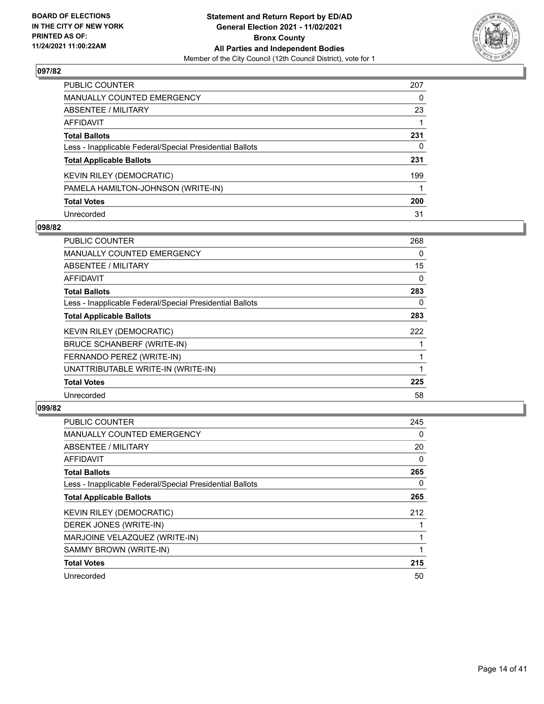

| PUBLIC COUNTER                                           | 207 |
|----------------------------------------------------------|-----|
| <b>MANUALLY COUNTED EMERGENCY</b>                        | 0   |
| ABSENTEE / MILITARY                                      | 23  |
| AFFIDAVIT                                                |     |
| <b>Total Ballots</b>                                     | 231 |
| Less - Inapplicable Federal/Special Presidential Ballots | 0   |
| <b>Total Applicable Ballots</b>                          | 231 |
| KEVIN RILEY (DEMOCRATIC)                                 | 199 |
| PAMELA HAMILTON-JOHNSON (WRITE-IN)                       |     |
| <b>Total Votes</b>                                       | 200 |
| Unrecorded                                               | 31  |

# **098/82**

| PUBLIC COUNTER                                           | 268      |
|----------------------------------------------------------|----------|
| <b>MANUALLY COUNTED EMERGENCY</b>                        | 0        |
| <b>ABSENTEE / MILITARY</b>                               | 15       |
| <b>AFFIDAVIT</b>                                         | $\Omega$ |
| <b>Total Ballots</b>                                     | 283      |
| Less - Inapplicable Federal/Special Presidential Ballots | 0        |
| <b>Total Applicable Ballots</b>                          | 283      |
| <b>KEVIN RILEY (DEMOCRATIC)</b>                          | 222      |
| <b>BRUCE SCHANBERF (WRITE-IN)</b>                        |          |
| FERNANDO PEREZ (WRITE-IN)                                |          |
| UNATTRIBUTABLE WRITE-IN (WRITE-IN)                       |          |
| <b>Total Votes</b>                                       | 225      |
| Unrecorded                                               | 58       |

| <b>PUBLIC COUNTER</b>                                    | 245      |
|----------------------------------------------------------|----------|
| MANUALLY COUNTED EMERGENCY                               | 0        |
| ABSENTEE / MILITARY                                      | 20       |
| AFFIDAVIT                                                | $\Omega$ |
| <b>Total Ballots</b>                                     | 265      |
| Less - Inapplicable Federal/Special Presidential Ballots | 0        |
| <b>Total Applicable Ballots</b>                          | 265      |
| <b>KEVIN RILEY (DEMOCRATIC)</b>                          | 212      |
| DEREK JONES (WRITE-IN)                                   |          |
| MARJOINE VELAZQUEZ (WRITE-IN)                            |          |
| SAMMY BROWN (WRITE-IN)                                   |          |
| <b>Total Votes</b>                                       | 215      |
| Unrecorded                                               | 50       |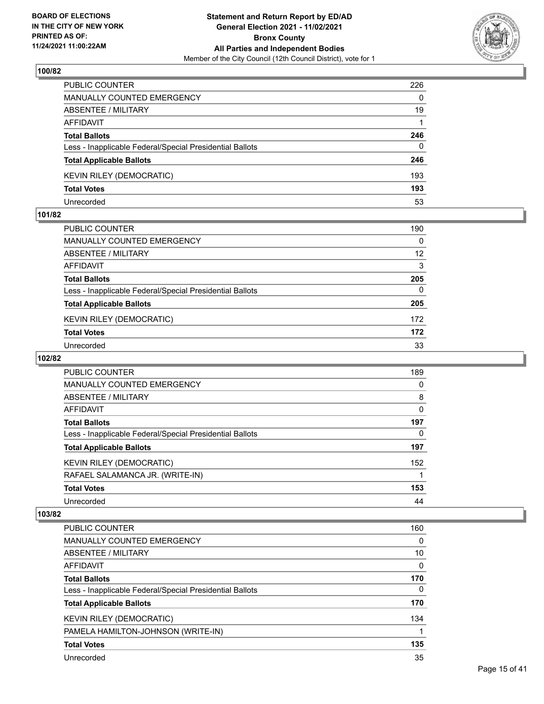

| PUBLIC COUNTER                                           | 226      |
|----------------------------------------------------------|----------|
| <b>MANUALLY COUNTED EMERGENCY</b>                        | $\Omega$ |
| <b>ABSENTEE / MILITARY</b>                               | 19       |
| AFFIDAVIT                                                |          |
| <b>Total Ballots</b>                                     | 246      |
| Less - Inapplicable Federal/Special Presidential Ballots | $\Omega$ |
| <b>Total Applicable Ballots</b>                          | 246      |
| <b>KEVIN RILEY (DEMOCRATIC)</b>                          | 193      |
| <b>Total Votes</b>                                       | 193      |
| Unrecorded                                               | 53       |

## **101/82**

| PUBLIC COUNTER                                           | 190 |
|----------------------------------------------------------|-----|
| <b>MANUALLY COUNTED EMERGENCY</b>                        | 0   |
| ABSENTEE / MILITARY                                      | 12  |
| AFFIDAVIT                                                | 3   |
| <b>Total Ballots</b>                                     | 205 |
| Less - Inapplicable Federal/Special Presidential Ballots | 0   |
| <b>Total Applicable Ballots</b>                          | 205 |
| <b>KEVIN RILEY (DEMOCRATIC)</b>                          | 172 |
| <b>Total Votes</b>                                       | 172 |
| Unrecorded                                               | 33  |
|                                                          |     |

# **102/82**

| <b>PUBLIC COUNTER</b>                                    | 189      |
|----------------------------------------------------------|----------|
| MANUALLY COUNTED EMERGENCY                               | 0        |
| ABSENTEE / MILITARY                                      | 8        |
| AFFIDAVIT                                                | 0        |
| <b>Total Ballots</b>                                     | 197      |
| Less - Inapplicable Federal/Special Presidential Ballots | $\Omega$ |
| <b>Total Applicable Ballots</b>                          | 197      |
| <b>KEVIN RILEY (DEMOCRATIC)</b>                          | 152      |
| RAFAEL SALAMANCA JR. (WRITE-IN)                          |          |
| <b>Total Votes</b>                                       | 153      |
| Unrecorded                                               | 44       |

| <b>PUBLIC COUNTER</b>                                    | 160 |
|----------------------------------------------------------|-----|
| <b>MANUALLY COUNTED EMERGENCY</b>                        | 0   |
| ABSENTEE / MILITARY                                      | 10  |
| AFFIDAVIT                                                | 0   |
| <b>Total Ballots</b>                                     | 170 |
| Less - Inapplicable Federal/Special Presidential Ballots | 0   |
| <b>Total Applicable Ballots</b>                          | 170 |
| <b>KEVIN RILEY (DEMOCRATIC)</b>                          | 134 |
| PAMELA HAMILTON-JOHNSON (WRITE-IN)                       |     |
| <b>Total Votes</b>                                       | 135 |
| Unrecorded                                               | 35  |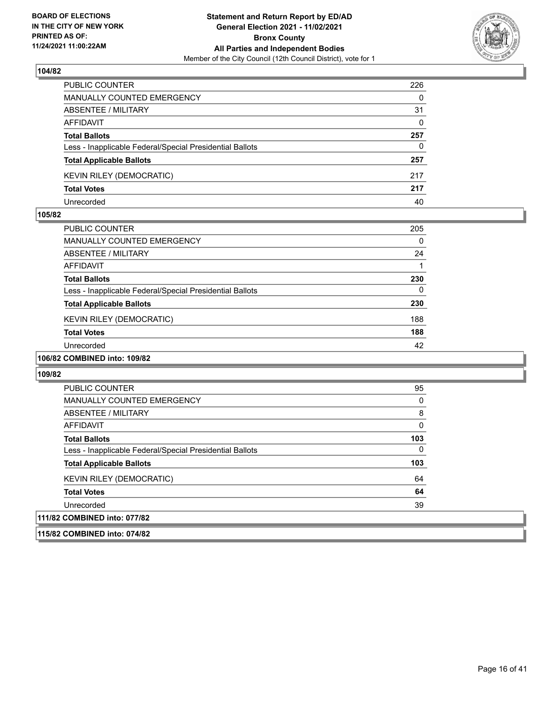

| PUBLIC COUNTER                                           | 226      |
|----------------------------------------------------------|----------|
| <b>MANUALLY COUNTED EMERGENCY</b>                        | $\Omega$ |
| ABSENTEE / MILITARY                                      | 31       |
| AFFIDAVIT                                                | $\Omega$ |
| <b>Total Ballots</b>                                     | 257      |
| Less - Inapplicable Federal/Special Presidential Ballots | 0        |
| <b>Total Applicable Ballots</b>                          | 257      |
| <b>KEVIN RILEY (DEMOCRATIC)</b>                          | 217      |
| <b>Total Votes</b>                                       | 217      |
| Unrecorded                                               | 40       |

## **105/82**

| PUBLIC COUNTER                                           | 205 |
|----------------------------------------------------------|-----|
| <b>MANUALLY COUNTED EMERGENCY</b>                        | 0   |
| ABSENTEE / MILITARY                                      | 24  |
| AFFIDAVIT                                                |     |
| <b>Total Ballots</b>                                     | 230 |
| Less - Inapplicable Federal/Special Presidential Ballots | 0   |
| <b>Total Applicable Ballots</b>                          | 230 |
| <b>KEVIN RILEY (DEMOCRATIC)</b>                          | 188 |
| <b>Total Votes</b>                                       | 188 |
| Unrecorded                                               | 42  |
|                                                          |     |

# **106/82 COMBINED into: 109/82**

#### **109/82**

| <b>PUBLIC COUNTER</b>                                    | 95       |
|----------------------------------------------------------|----------|
| <b>MANUALLY COUNTED EMERGENCY</b>                        | 0        |
| ABSENTEE / MILITARY                                      | 8        |
| AFFIDAVIT                                                | 0        |
| <b>Total Ballots</b>                                     | 103      |
| Less - Inapplicable Federal/Special Presidential Ballots | $\Omega$ |
| <b>Total Applicable Ballots</b>                          | 103      |
| KEVIN RILEY (DEMOCRATIC)                                 | 64       |
| <b>Total Votes</b>                                       | 64       |
| Unrecorded                                               | 39       |
| 111/82 COMBINED into: 077/82                             |          |
|                                                          |          |

# **115/82 COMBINED into: 074/82**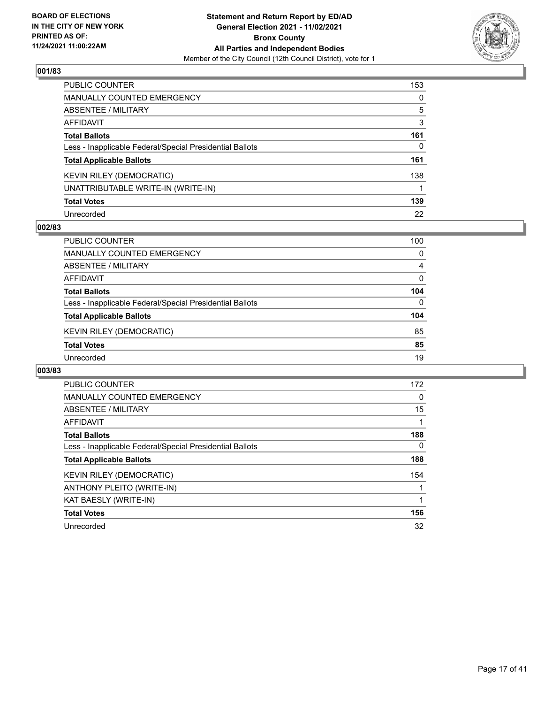

| PUBLIC COUNTER                                           | 153 |
|----------------------------------------------------------|-----|
| MANUALLY COUNTED EMERGENCY                               | 0   |
| ABSENTEE / MILITARY                                      | 5   |
| AFFIDAVIT                                                | 3   |
| Total Ballots                                            | 161 |
| Less - Inapplicable Federal/Special Presidential Ballots | 0   |
| <b>Total Applicable Ballots</b>                          | 161 |
| KEVIN RILEY (DEMOCRATIC)                                 | 138 |
| UNATTRIBUTABLE WRITE-IN (WRITE-IN)                       |     |
| <b>Total Votes</b>                                       | 139 |
| Unrecorded                                               | 22  |

# **002/83**

| PUBLIC COUNTER                                           | 100      |
|----------------------------------------------------------|----------|
| <b>MANUALLY COUNTED EMERGENCY</b>                        | $\Omega$ |
| ABSENTEE / MILITARY                                      | 4        |
| AFFIDAVIT                                                | $\Omega$ |
| <b>Total Ballots</b>                                     | 104      |
| Less - Inapplicable Federal/Special Presidential Ballots | $\Omega$ |
| <b>Total Applicable Ballots</b>                          | 104      |
| <b>KEVIN RILEY (DEMOCRATIC)</b>                          | 85       |
| <b>Total Votes</b>                                       | 85       |
| Unrecorded                                               | 19       |

| PUBLIC COUNTER                                           | 172 |
|----------------------------------------------------------|-----|
| <b>MANUALLY COUNTED EMERGENCY</b>                        | 0   |
| ABSENTEE / MILITARY                                      | 15  |
| AFFIDAVIT                                                |     |
| <b>Total Ballots</b>                                     | 188 |
| Less - Inapplicable Federal/Special Presidential Ballots | 0   |
| <b>Total Applicable Ballots</b>                          | 188 |
| <b>KEVIN RILEY (DEMOCRATIC)</b>                          | 154 |
| ANTHONY PLEITO (WRITE-IN)                                |     |
| KAT BAESLY (WRITE-IN)                                    |     |
| <b>Total Votes</b>                                       | 156 |
| Unrecorded                                               | 32  |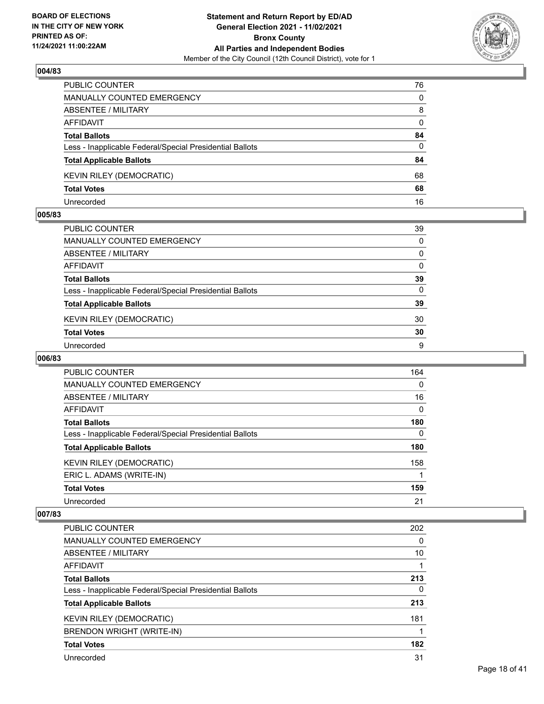

| PUBLIC COUNTER                                           | 76           |
|----------------------------------------------------------|--------------|
| <b>MANUALLY COUNTED EMERGENCY</b>                        | 0            |
| ABSENTEE / MILITARY                                      | 8            |
| AFFIDAVIT                                                | $\mathbf{0}$ |
| <b>Total Ballots</b>                                     | 84           |
| Less - Inapplicable Federal/Special Presidential Ballots | 0            |
| <b>Total Applicable Ballots</b>                          | 84           |
| <b>KEVIN RILEY (DEMOCRATIC)</b>                          | 68           |
| <b>Total Votes</b>                                       | 68           |
| Unrecorded                                               | 16           |

## **005/83**

| PUBLIC COUNTER                                           | 39       |
|----------------------------------------------------------|----------|
| MANUALLY COUNTED EMERGENCY                               | $\Omega$ |
| ABSENTEE / MILITARY                                      | $\Omega$ |
| <b>AFFIDAVIT</b>                                         | $\Omega$ |
| <b>Total Ballots</b>                                     | 39       |
| Less - Inapplicable Federal/Special Presidential Ballots | $\Omega$ |
| <b>Total Applicable Ballots</b>                          | 39       |
| <b>KEVIN RILEY (DEMOCRATIC)</b>                          | 30       |
| <b>Total Votes</b>                                       | 30       |
| Unrecorded                                               | 9        |
|                                                          |          |

# **006/83**

| <b>PUBLIC COUNTER</b>                                    | 164      |
|----------------------------------------------------------|----------|
| MANUALLY COUNTED EMERGENCY                               | $\Omega$ |
| ABSENTEE / MILITARY                                      | 16       |
| AFFIDAVIT                                                | 0        |
| <b>Total Ballots</b>                                     | 180      |
| Less - Inapplicable Federal/Special Presidential Ballots | $\Omega$ |
| <b>Total Applicable Ballots</b>                          | 180      |
| KEVIN RILEY (DEMOCRATIC)                                 | 158      |
| ERIC L. ADAMS (WRITE-IN)                                 |          |
| <b>Total Votes</b>                                       | 159      |
| Unrecorded                                               | 21       |

| <b>PUBLIC COUNTER</b>                                    | 202      |
|----------------------------------------------------------|----------|
| <b>MANUALLY COUNTED EMERGENCY</b>                        | 0        |
| ABSENTEE / MILITARY                                      | 10       |
| AFFIDAVIT                                                |          |
| <b>Total Ballots</b>                                     | 213      |
| Less - Inapplicable Federal/Special Presidential Ballots | $\Omega$ |
| <b>Total Applicable Ballots</b>                          | 213      |
| <b>KEVIN RILEY (DEMOCRATIC)</b>                          | 181      |
| BRENDON WRIGHT (WRITE-IN)                                |          |
| <b>Total Votes</b>                                       | 182      |
| Unrecorded                                               | 31       |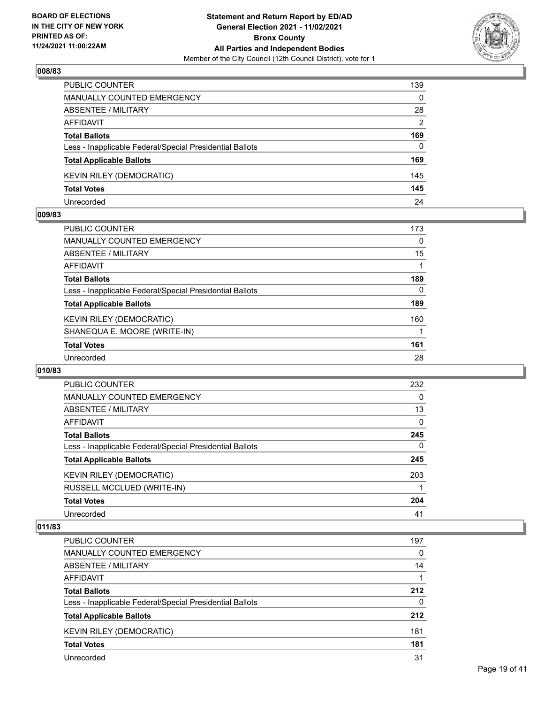

| PUBLIC COUNTER                                           | 139      |
|----------------------------------------------------------|----------|
| <b>MANUALLY COUNTED EMERGENCY</b>                        | $\Omega$ |
| <b>ABSENTEE / MILITARY</b>                               | 28       |
| AFFIDAVIT                                                | 2        |
| <b>Total Ballots</b>                                     | 169      |
| Less - Inapplicable Federal/Special Presidential Ballots | $\Omega$ |
| <b>Total Applicable Ballots</b>                          | 169      |
| <b>KEVIN RILEY (DEMOCRATIC)</b>                          | 145      |
| <b>Total Votes</b>                                       | 145      |
| Unrecorded                                               | 24       |

## **009/83**

| <b>PUBLIC COUNTER</b>                                    | 173      |
|----------------------------------------------------------|----------|
| <b>MANUALLY COUNTED EMERGENCY</b>                        | $\Omega$ |
| <b>ABSENTEE / MILITARY</b>                               | 15       |
| AFFIDAVIT                                                |          |
| <b>Total Ballots</b>                                     | 189      |
| Less - Inapplicable Federal/Special Presidential Ballots | $\Omega$ |
| <b>Total Applicable Ballots</b>                          | 189      |
| <b>KEVIN RILEY (DEMOCRATIC)</b>                          | 160      |
| SHANEQUA E. MOORE (WRITE-IN)                             |          |
| <b>Total Votes</b>                                       | 161      |
| Unrecorded                                               | 28       |
|                                                          |          |

## **010/83**

| PUBLIC COUNTER                                           | 232      |
|----------------------------------------------------------|----------|
| MANUALLY COUNTED EMERGENCY                               | 0        |
| ABSENTEE / MILITARY                                      | 13       |
| AFFIDAVIT                                                | $\Omega$ |
| <b>Total Ballots</b>                                     | 245      |
| Less - Inapplicable Federal/Special Presidential Ballots | $\Omega$ |
| <b>Total Applicable Ballots</b>                          | 245      |
| <b>KEVIN RILEY (DEMOCRATIC)</b>                          | 203      |
| RUSSELL MCCLUED (WRITE-IN)                               |          |
| <b>Total Votes</b>                                       | 204      |
| Unrecorded                                               | 41       |

| PUBLIC COUNTER                                           | 197      |
|----------------------------------------------------------|----------|
| <b>MANUALLY COUNTED EMERGENCY</b>                        | $\Omega$ |
| ABSENTEE / MILITARY                                      | 14       |
| AFFIDAVIT                                                |          |
| <b>Total Ballots</b>                                     | 212      |
| Less - Inapplicable Federal/Special Presidential Ballots | $\Omega$ |
| <b>Total Applicable Ballots</b>                          | 212      |
| KEVIN RILEY (DEMOCRATIC)                                 | 181      |
| <b>Total Votes</b>                                       | 181      |
| Unrecorded                                               | 31       |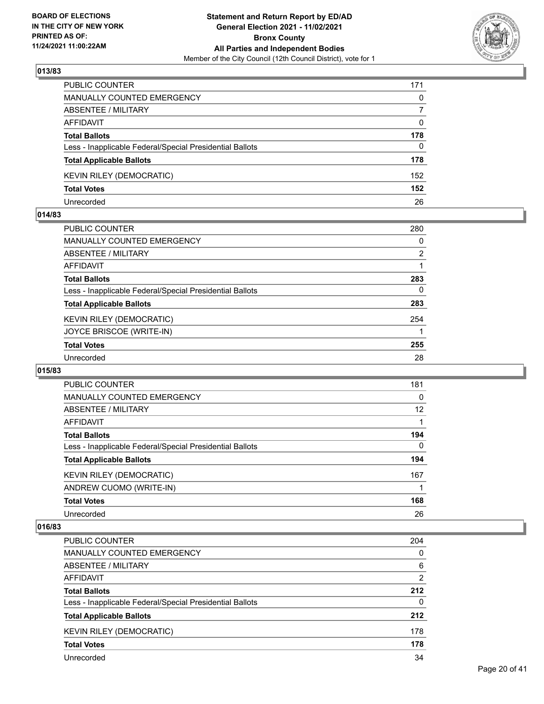

| PUBLIC COUNTER                                           | 171      |
|----------------------------------------------------------|----------|
| <b>MANUALLY COUNTED EMERGENCY</b>                        | $\Omega$ |
| ABSENTEE / MILITARY                                      | 7        |
| AFFIDAVIT                                                | $\Omega$ |
| <b>Total Ballots</b>                                     | 178      |
| Less - Inapplicable Federal/Special Presidential Ballots | $\Omega$ |
| <b>Total Applicable Ballots</b>                          | 178      |
| <b>KEVIN RILEY (DEMOCRATIC)</b>                          | 152      |
| <b>Total Votes</b>                                       | 152      |
| Unrecorded                                               | 26       |

## **014/83**

| <b>PUBLIC COUNTER</b>                                    | 280      |
|----------------------------------------------------------|----------|
| <b>MANUALLY COUNTED EMERGENCY</b>                        | $\Omega$ |
| ABSENTEE / MILITARY                                      | 2        |
| AFFIDAVIT                                                |          |
| <b>Total Ballots</b>                                     | 283      |
| Less - Inapplicable Federal/Special Presidential Ballots | 0        |
| <b>Total Applicable Ballots</b>                          | 283      |
| <b>KEVIN RILEY (DEMOCRATIC)</b>                          | 254      |
| JOYCE BRISCOE (WRITE-IN)                                 |          |
| <b>Total Votes</b>                                       | 255      |
| Unrecorded                                               | 28       |
|                                                          |          |

## **015/83**

| PUBLIC COUNTER                                           | 181      |
|----------------------------------------------------------|----------|
| <b>MANUALLY COUNTED EMERGENCY</b>                        | 0        |
| ABSENTEE / MILITARY                                      | 12       |
| <b>AFFIDAVIT</b>                                         |          |
| <b>Total Ballots</b>                                     | 194      |
| Less - Inapplicable Federal/Special Presidential Ballots | $\Omega$ |
| <b>Total Applicable Ballots</b>                          | 194      |
| <b>KEVIN RILEY (DEMOCRATIC)</b>                          | 167      |
| ANDREW CUOMO (WRITE-IN)                                  |          |
| <b>Total Votes</b>                                       | 168      |
| Unrecorded                                               | 26       |

| PUBLIC COUNTER                                           | 204      |
|----------------------------------------------------------|----------|
| MANUALLY COUNTED EMERGENCY                               | 0        |
| ABSENTEE / MILITARY                                      | 6        |
| AFFIDAVIT                                                | 2        |
| <b>Total Ballots</b>                                     | 212      |
| Less - Inapplicable Federal/Special Presidential Ballots | $\Omega$ |
| <b>Total Applicable Ballots</b>                          | 212      |
| <b>KEVIN RILEY (DEMOCRATIC)</b>                          | 178      |
| <b>Total Votes</b>                                       | 178      |
| Unrecorded                                               | 34       |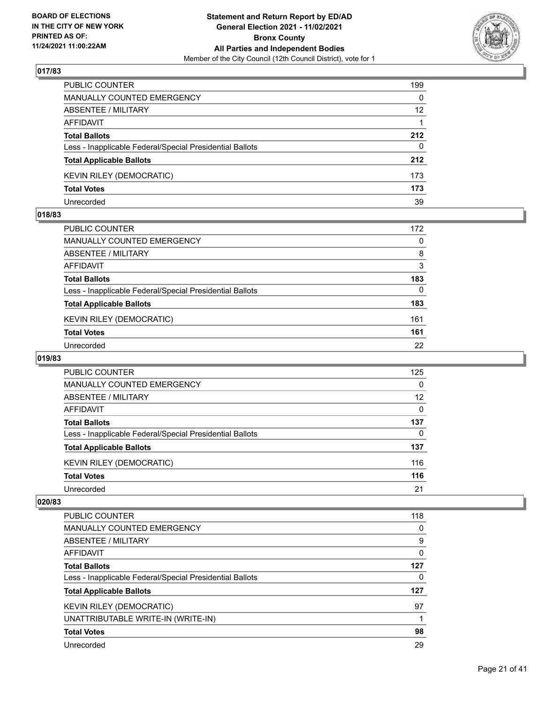

| PUBLIC COUNTER                                           | 199             |
|----------------------------------------------------------|-----------------|
| <b>MANUALLY COUNTED EMERGENCY</b>                        | $\Omega$        |
| ABSENTEE / MILITARY                                      | 12 <sup>2</sup> |
| AFFIDAVIT                                                |                 |
| <b>Total Ballots</b>                                     | 212             |
| Less - Inapplicable Federal/Special Presidential Ballots | $\Omega$        |
| <b>Total Applicable Ballots</b>                          | 212             |
| <b>KEVIN RILEY (DEMOCRATIC)</b>                          | 173             |
| <b>Total Votes</b>                                       | 173             |
| Unrecorded                                               | 39              |

## **018/83**

| PUBLIC COUNTER                                           | 172      |
|----------------------------------------------------------|----------|
| MANUALLY COUNTED EMERGENCY                               | $\Omega$ |
| ABSENTEE / MILITARY                                      | 8        |
| AFFIDAVIT                                                | 3        |
| <b>Total Ballots</b>                                     | 183      |
| Less - Inapplicable Federal/Special Presidential Ballots | $\Omega$ |
| <b>Total Applicable Ballots</b>                          | 183      |
| <b>KEVIN RILEY (DEMOCRATIC)</b>                          | 161      |
| <b>Total Votes</b>                                       | 161      |
| Unrecorded                                               | 22       |
|                                                          |          |

# **019/83**

| <b>PUBLIC COUNTER</b>                                    | 125      |
|----------------------------------------------------------|----------|
| <b>MANUALLY COUNTED EMERGENCY</b>                        | $\Omega$ |
| ABSENTEE / MILITARY                                      | 12       |
| AFFIDAVIT                                                | $\Omega$ |
| <b>Total Ballots</b>                                     | 137      |
| Less - Inapplicable Federal/Special Presidential Ballots | 0        |
| <b>Total Applicable Ballots</b>                          | 137      |
| KEVIN RILEY (DEMOCRATIC)                                 | 116      |
| <b>Total Votes</b>                                       | 116      |
| Unrecorded                                               | 21       |

| PUBLIC COUNTER                                           | 118 |
|----------------------------------------------------------|-----|
| <b>MANUALLY COUNTED EMERGENCY</b>                        | 0   |
| ABSENTEE / MILITARY                                      | 9   |
| AFFIDAVIT                                                | 0   |
| <b>Total Ballots</b>                                     | 127 |
| Less - Inapplicable Federal/Special Presidential Ballots | 0   |
| <b>Total Applicable Ballots</b>                          | 127 |
| <b>KEVIN RILEY (DEMOCRATIC)</b>                          | 97  |
| UNATTRIBUTABLE WRITE-IN (WRITE-IN)                       |     |
| <b>Total Votes</b>                                       | 98  |
| Unrecorded                                               | 29  |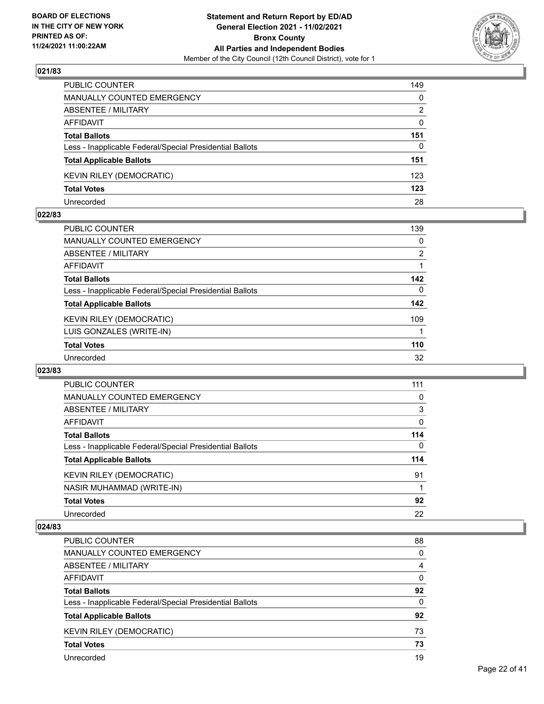

| PUBLIC COUNTER                                           | 149          |
|----------------------------------------------------------|--------------|
| <b>MANUALLY COUNTED EMERGENCY</b>                        | $\mathbf{0}$ |
| <b>ABSENTEE / MILITARY</b>                               | 2            |
| <b>AFFIDAVIT</b>                                         | $\mathbf{0}$ |
| <b>Total Ballots</b>                                     | 151          |
| Less - Inapplicable Federal/Special Presidential Ballots | 0            |
| <b>Total Applicable Ballots</b>                          | 151          |
| KEVIN RILEY (DEMOCRATIC)                                 | 123          |
| <b>Total Votes</b>                                       | 123          |
| Unrecorded                                               | 28           |

## **022/83**

| PUBLIC COUNTER                                           | 139            |
|----------------------------------------------------------|----------------|
| <b>MANUALLY COUNTED EMERGENCY</b>                        | $\Omega$       |
| <b>ABSENTEE / MILITARY</b>                               | $\overline{2}$ |
| <b>AFFIDAVIT</b>                                         |                |
| <b>Total Ballots</b>                                     | 142            |
| Less - Inapplicable Federal/Special Presidential Ballots | $\Omega$       |
| <b>Total Applicable Ballots</b>                          | 142            |
| <b>KEVIN RILEY (DEMOCRATIC)</b>                          | 109            |
| LUIS GONZALES (WRITE-IN)                                 |                |
| <b>Total Votes</b>                                       | 110            |
| Unrecorded                                               | 32             |
|                                                          |                |

#### **023/83**

| PUBLIC COUNTER                                           | 111      |
|----------------------------------------------------------|----------|
| <b>MANUALLY COUNTED EMERGENCY</b>                        | $\Omega$ |
| ABSENTEE / MILITARY                                      | 3        |
| <b>AFFIDAVIT</b>                                         | 0        |
| <b>Total Ballots</b>                                     | 114      |
| Less - Inapplicable Federal/Special Presidential Ballots | 0        |
| <b>Total Applicable Ballots</b>                          | 114      |
| KEVIN RILEY (DEMOCRATIC)                                 | 91       |
| NASIR MUHAMMAD (WRITE-IN)                                |          |
| <b>Total Votes</b>                                       | 92       |
| Unrecorded                                               | 22       |

| <b>PUBLIC COUNTER</b>                                    | 88       |
|----------------------------------------------------------|----------|
| <b>MANUALLY COUNTED EMERGENCY</b>                        | $\Omega$ |
| ABSENTEE / MILITARY                                      | 4        |
| AFFIDAVIT                                                | $\Omega$ |
| <b>Total Ballots</b>                                     | 92       |
| Less - Inapplicable Federal/Special Presidential Ballots | 0        |
| <b>Total Applicable Ballots</b>                          | 92       |
| KEVIN RILEY (DEMOCRATIC)                                 | 73       |
| <b>Total Votes</b>                                       | 73       |
| Unrecorded                                               | 19       |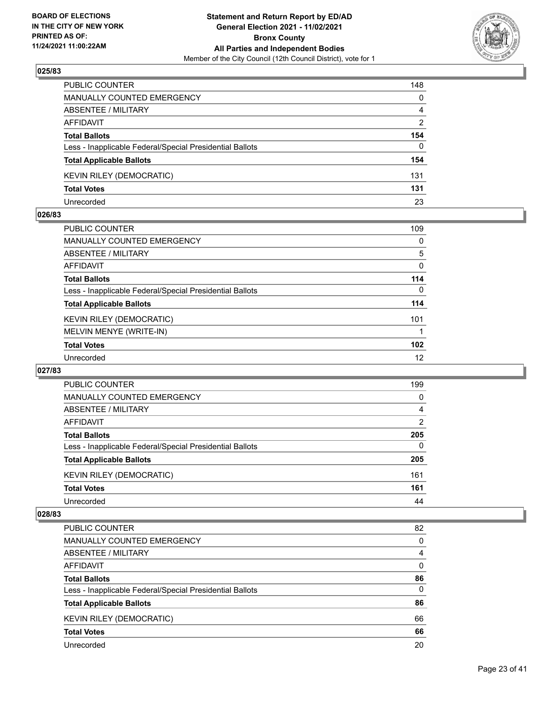

| PUBLIC COUNTER                                           | 148            |
|----------------------------------------------------------|----------------|
| <b>MANUALLY COUNTED EMERGENCY</b>                        | $\mathbf{0}$   |
| ABSENTEE / MILITARY                                      | $\overline{4}$ |
| AFFIDAVIT                                                | 2              |
| <b>Total Ballots</b>                                     | 154            |
| Less - Inapplicable Federal/Special Presidential Ballots | $\Omega$       |
| <b>Total Applicable Ballots</b>                          | 154            |
| <b>KEVIN RILEY (DEMOCRATIC)</b>                          | 131            |
| <b>Total Votes</b>                                       | 131            |
| Unrecorded                                               | 23             |

## **026/83**

| PUBLIC COUNTER                                           | 109              |
|----------------------------------------------------------|------------------|
| MANUALLY COUNTED EMERGENCY                               | 0                |
| ABSENTEE / MILITARY                                      | 5                |
| AFFIDAVIT                                                | 0                |
| <b>Total Ballots</b>                                     | 114              |
| Less - Inapplicable Federal/Special Presidential Ballots | 0                |
| <b>Total Applicable Ballots</b>                          | 114              |
| <b>KEVIN RILEY (DEMOCRATIC)</b>                          | 101              |
| MELVIN MENYE (WRITE-IN)                                  |                  |
| <b>Total Votes</b>                                       | 102 <sub>2</sub> |
| Unrecorded                                               | 12               |
|                                                          |                  |

## **027/83**

| PUBLIC COUNTER                                           | 199      |
|----------------------------------------------------------|----------|
| <b>MANUALLY COUNTED EMERGENCY</b>                        | 0        |
| ABSENTEE / MILITARY                                      | 4        |
| AFFIDAVIT                                                | 2        |
| <b>Total Ballots</b>                                     | 205      |
| Less - Inapplicable Federal/Special Presidential Ballots | $\Omega$ |
| <b>Total Applicable Ballots</b>                          | 205      |
| KEVIN RILEY (DEMOCRATIC)                                 | 161      |
| <b>Total Votes</b>                                       | 161      |
| Unrecorded                                               | 44       |

| PUBLIC COUNTER                                           | 82       |
|----------------------------------------------------------|----------|
| <b>MANUALLY COUNTED EMERGENCY</b>                        | $\Omega$ |
| ABSENTEE / MILITARY                                      | 4        |
| AFFIDAVIT                                                | $\Omega$ |
| <b>Total Ballots</b>                                     | 86       |
| Less - Inapplicable Federal/Special Presidential Ballots | $\Omega$ |
| <b>Total Applicable Ballots</b>                          | 86       |
| KEVIN RILEY (DEMOCRATIC)                                 | 66       |
| <b>Total Votes</b>                                       | 66       |
| Unrecorded                                               | 20       |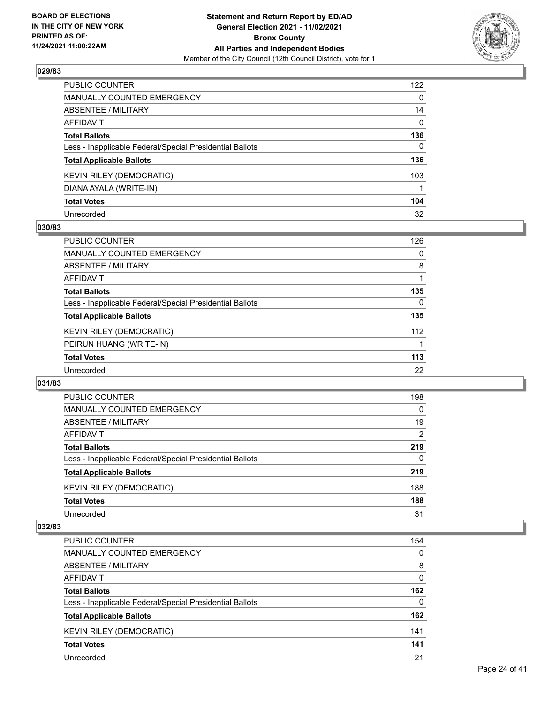

| PUBLIC COUNTER                                           | 122          |
|----------------------------------------------------------|--------------|
| <b>MANUALLY COUNTED EMERGENCY</b>                        | 0            |
| ABSENTEE / MILITARY                                      | 14           |
| AFFIDAVIT                                                | $\mathbf{0}$ |
| Total Ballots                                            | 136          |
| Less - Inapplicable Federal/Special Presidential Ballots | $\Omega$     |
| <b>Total Applicable Ballots</b>                          | 136          |
| KEVIN RILEY (DEMOCRATIC)                                 | 103          |
| DIANA AYALA (WRITE-IN)                                   |              |
| <b>Total Votes</b>                                       | 104          |
| Unrecorded                                               | 32           |

# **030/83**

| <b>PUBLIC COUNTER</b>                                    | 126      |
|----------------------------------------------------------|----------|
| <b>MANUALLY COUNTED EMERGENCY</b>                        | 0        |
| ABSENTEE / MILITARY                                      | 8        |
| <b>AFFIDAVIT</b>                                         |          |
| <b>Total Ballots</b>                                     | 135      |
| Less - Inapplicable Federal/Special Presidential Ballots | $\Omega$ |
| <b>Total Applicable Ballots</b>                          | 135      |
| <b>KEVIN RILEY (DEMOCRATIC)</b>                          | 112      |
| PEIRUN HUANG (WRITE-IN)                                  |          |
| <b>Total Votes</b>                                       | 113      |
| Unrecorded                                               | 22       |

## **031/83**

| PUBLIC COUNTER                                           | 198      |
|----------------------------------------------------------|----------|
| <b>MANUALLY COUNTED EMERGENCY</b>                        | $\Omega$ |
| ABSENTEE / MILITARY                                      | 19       |
| AFFIDAVIT                                                | 2        |
| <b>Total Ballots</b>                                     | 219      |
| Less - Inapplicable Federal/Special Presidential Ballots | $\Omega$ |
| <b>Total Applicable Ballots</b>                          | 219      |
| KEVIN RILEY (DEMOCRATIC)                                 | 188      |
| <b>Total Votes</b>                                       | 188      |
| Unrecorded                                               | 31       |

| <b>PUBLIC COUNTER</b>                                    | 154      |
|----------------------------------------------------------|----------|
| <b>MANUALLY COUNTED EMERGENCY</b>                        | $\Omega$ |
| ABSENTEE / MILITARY                                      | 8        |
| AFFIDAVIT                                                | $\Omega$ |
| <b>Total Ballots</b>                                     | 162      |
| Less - Inapplicable Federal/Special Presidential Ballots | $\Omega$ |
| <b>Total Applicable Ballots</b>                          | 162      |
| KEVIN RILEY (DEMOCRATIC)                                 | 141      |
| <b>Total Votes</b>                                       | 141      |
| Unrecorded                                               | 21       |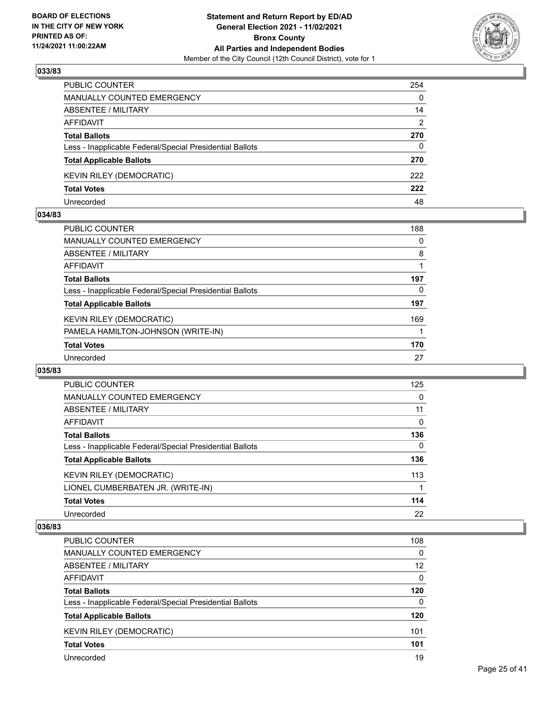

| PUBLIC COUNTER                                           | 254          |
|----------------------------------------------------------|--------------|
| <b>MANUALLY COUNTED EMERGENCY</b>                        | $\mathbf{0}$ |
| ABSENTEE / MILITARY                                      | 14           |
| AFFIDAVIT                                                | 2            |
| <b>Total Ballots</b>                                     | 270          |
| Less - Inapplicable Federal/Special Presidential Ballots | $\mathbf{0}$ |
| <b>Total Applicable Ballots</b>                          | 270          |
| KEVIN RILEY (DEMOCRATIC)                                 | 222          |
| <b>Total Votes</b>                                       | 222          |
| Unrecorded                                               | 48           |

## **034/83**

| <b>PUBLIC COUNTER</b>                                    | 188      |
|----------------------------------------------------------|----------|
| MANUALLY COUNTED EMERGENCY                               | $\Omega$ |
| ABSENTEE / MILITARY                                      | 8        |
| AFFIDAVIT                                                |          |
| <b>Total Ballots</b>                                     | 197      |
| Less - Inapplicable Federal/Special Presidential Ballots | 0        |
| <b>Total Applicable Ballots</b>                          | 197      |
| <b>KEVIN RILEY (DEMOCRATIC)</b>                          | 169      |
| PAMELA HAMILTON-JOHNSON (WRITE-IN)                       |          |
| <b>Total Votes</b>                                       | 170      |
| Unrecorded                                               | 27       |
|                                                          |          |

## **035/83**

| PUBLIC COUNTER                                           | 125      |
|----------------------------------------------------------|----------|
| MANUALLY COUNTED EMERGENCY                               | 0        |
| ABSENTEE / MILITARY                                      | 11       |
| AFFIDAVIT                                                | $\Omega$ |
| <b>Total Ballots</b>                                     | 136      |
| Less - Inapplicable Federal/Special Presidential Ballots | 0        |
| <b>Total Applicable Ballots</b>                          | 136      |
| <b>KEVIN RILEY (DEMOCRATIC)</b>                          | 113      |
| LIONEL CUMBERBATEN JR. (WRITE-IN)                        |          |
| <b>Total Votes</b>                                       | 114      |
| Unrecorded                                               | 22       |

| <b>PUBLIC COUNTER</b>                                    | 108      |
|----------------------------------------------------------|----------|
| MANUALLY COUNTED EMERGENCY                               | $\Omega$ |
| ABSENTEE / MILITARY                                      | 12       |
| AFFIDAVIT                                                | $\Omega$ |
| <b>Total Ballots</b>                                     | 120      |
| Less - Inapplicable Federal/Special Presidential Ballots | $\Omega$ |
| <b>Total Applicable Ballots</b>                          | 120      |
| KEVIN RILEY (DEMOCRATIC)                                 | 101      |
| <b>Total Votes</b>                                       | 101      |
| Unrecorded                                               | 19       |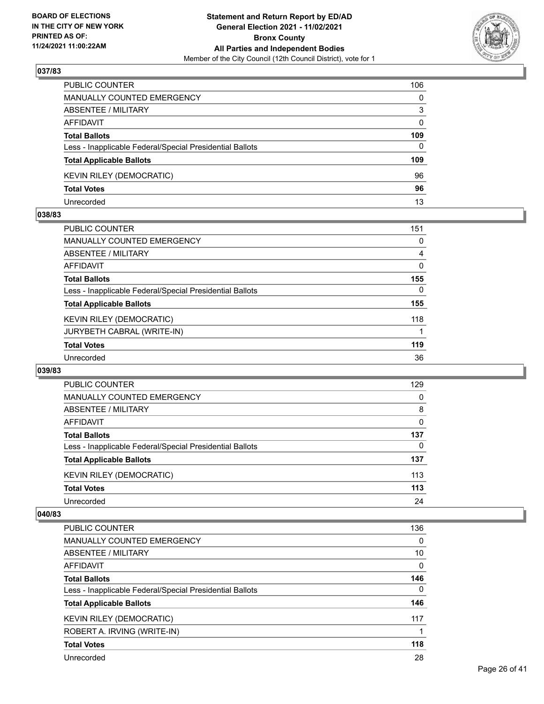

| PUBLIC COUNTER                                           | 106          |
|----------------------------------------------------------|--------------|
| MANUALLY COUNTED EMERGENCY                               | $\Omega$     |
| <b>ABSENTEE / MILITARY</b>                               | 3            |
| <b>AFFIDAVIT</b>                                         | $\Omega$     |
| <b>Total Ballots</b>                                     | 109          |
| Less - Inapplicable Federal/Special Presidential Ballots | $\mathbf{0}$ |
| <b>Total Applicable Ballots</b>                          | 109          |
| KEVIN RILEY (DEMOCRATIC)                                 | 96           |
| <b>Total Votes</b>                                       | 96           |
| Unrecorded                                               | 13           |

## **038/83**

| <b>PUBLIC COUNTER</b>                                    | 151 |
|----------------------------------------------------------|-----|
| MANUALLY COUNTED EMERGENCY                               | 0   |
| ABSENTEE / MILITARY                                      | 4   |
| AFFIDAVIT                                                | 0   |
| <b>Total Ballots</b>                                     | 155 |
| Less - Inapplicable Federal/Special Presidential Ballots | 0   |
| <b>Total Applicable Ballots</b>                          | 155 |
| <b>KEVIN RILEY (DEMOCRATIC)</b>                          | 118 |
| JURYBETH CABRAL (WRITE-IN)                               |     |
| <b>Total Votes</b>                                       | 119 |
| Unrecorded                                               | 36  |
|                                                          |     |

## **039/83**

| <b>PUBLIC COUNTER</b>                                    | 129      |
|----------------------------------------------------------|----------|
| <b>MANUALLY COUNTED EMERGENCY</b>                        | $\Omega$ |
| ABSENTEE / MILITARY                                      | 8        |
| AFFIDAVIT                                                | 0        |
| <b>Total Ballots</b>                                     | 137      |
| Less - Inapplicable Federal/Special Presidential Ballots | 0        |
| <b>Total Applicable Ballots</b>                          | 137      |
| <b>KEVIN RILEY (DEMOCRATIC)</b>                          | 113      |
| <b>Total Votes</b>                                       | 113      |
| Unrecorded                                               | 24       |

| <b>PUBLIC COUNTER</b>                                    | 136      |
|----------------------------------------------------------|----------|
| <b>MANUALLY COUNTED EMERGENCY</b>                        | $\Omega$ |
| ABSENTEE / MILITARY                                      | 10       |
| AFFIDAVIT                                                | $\Omega$ |
| <b>Total Ballots</b>                                     | 146      |
| Less - Inapplicable Federal/Special Presidential Ballots | $\Omega$ |
| <b>Total Applicable Ballots</b>                          | 146      |
| <b>KEVIN RILEY (DEMOCRATIC)</b>                          | 117      |
| ROBERT A. IRVING (WRITE-IN)                              |          |
| <b>Total Votes</b>                                       | 118      |
| Unrecorded                                               | 28       |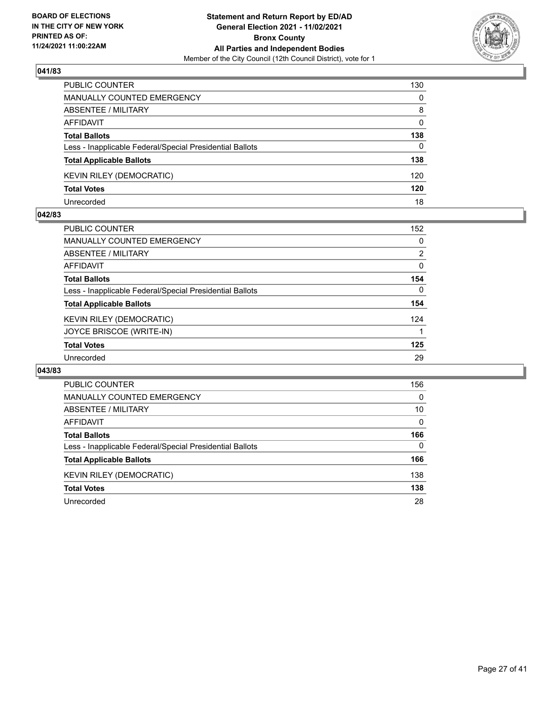

| PUBLIC COUNTER                                           | 130      |
|----------------------------------------------------------|----------|
| MANUALLY COUNTED EMERGENCY                               | $\Omega$ |
| ABSENTEE / MILITARY                                      | 8        |
| AFFIDAVIT                                                | $\Omega$ |
| <b>Total Ballots</b>                                     | 138      |
| Less - Inapplicable Federal/Special Presidential Ballots | $\Omega$ |
| <b>Total Applicable Ballots</b>                          | 138      |
| <b>KEVIN RILEY (DEMOCRATIC)</b>                          | 120      |
| <b>Total Votes</b>                                       | 120      |
| Unrecorded                                               | 18       |

## **042/83**

| <b>PUBLIC COUNTER</b>                                    | 152      |
|----------------------------------------------------------|----------|
| <b>MANUALLY COUNTED EMERGENCY</b>                        | $\Omega$ |
| <b>ABSENTEE / MILITARY</b>                               | 2        |
| AFFIDAVIT                                                | 0        |
| <b>Total Ballots</b>                                     | 154      |
| Less - Inapplicable Federal/Special Presidential Ballots | $\Omega$ |
| <b>Total Applicable Ballots</b>                          | 154      |
| <b>KEVIN RILEY (DEMOCRATIC)</b>                          | 124      |
| JOYCE BRISCOE (WRITE-IN)                                 |          |
| <b>Total Votes</b>                                       | 125      |
| Unrecorded                                               | 29       |
|                                                          |          |

| <b>PUBLIC COUNTER</b>                                    | 156      |
|----------------------------------------------------------|----------|
| <b>MANUALLY COUNTED EMERGENCY</b>                        | $\Omega$ |
| ABSENTEE / MILITARY                                      | 10       |
| AFFIDAVIT                                                | $\Omega$ |
| <b>Total Ballots</b>                                     | 166      |
| Less - Inapplicable Federal/Special Presidential Ballots | $\Omega$ |
| <b>Total Applicable Ballots</b>                          | 166      |
| KEVIN RILEY (DEMOCRATIC)                                 | 138      |
| <b>Total Votes</b>                                       | 138      |
| Unrecorded                                               | 28       |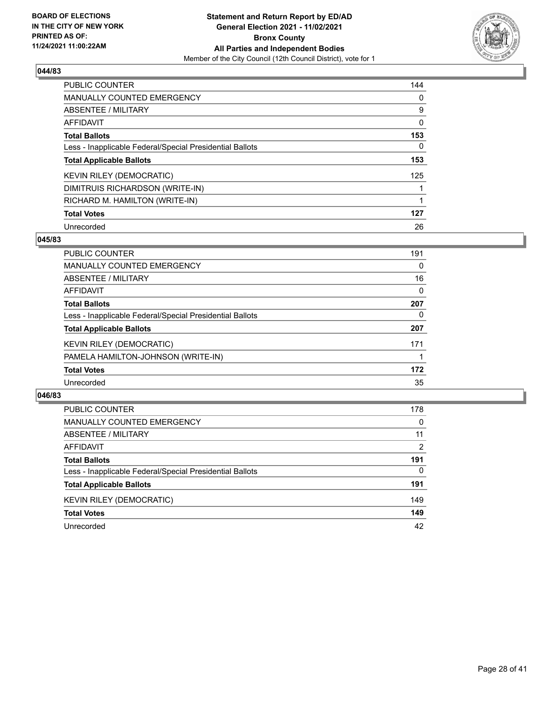

| <b>PUBLIC COUNTER</b>                                    | 144      |
|----------------------------------------------------------|----------|
| <b>MANUALLY COUNTED EMERGENCY</b>                        | $\Omega$ |
| ABSENTEE / MILITARY                                      | 9        |
| AFFIDAVIT                                                | 0        |
| <b>Total Ballots</b>                                     | 153      |
| Less - Inapplicable Federal/Special Presidential Ballots | 0        |
| <b>Total Applicable Ballots</b>                          | 153      |
| <b>KEVIN RILEY (DEMOCRATIC)</b>                          | 125      |
| DIMITRUIS RICHARDSON (WRITE-IN)                          |          |
| RICHARD M. HAMILTON (WRITE-IN)                           |          |
| <b>Total Votes</b>                                       | 127      |
| Unrecorded                                               | 26       |

## **045/83**

| <b>PUBLIC COUNTER</b>                                    | 191      |
|----------------------------------------------------------|----------|
| <b>MANUALLY COUNTED EMERGENCY</b>                        | $\Omega$ |
| ABSENTEE / MILITARY                                      | 16       |
| <b>AFFIDAVIT</b>                                         | 0        |
| <b>Total Ballots</b>                                     | 207      |
| Less - Inapplicable Federal/Special Presidential Ballots | $\Omega$ |
| <b>Total Applicable Ballots</b>                          | 207      |
| KEVIN RILEY (DEMOCRATIC)                                 | 171      |
| PAMELA HAMILTON-JOHNSON (WRITE-IN)                       |          |
| <b>Total Votes</b>                                       | 172      |
| Unrecorded                                               | 35       |

| <b>PUBLIC COUNTER</b>                                    | 178      |
|----------------------------------------------------------|----------|
| MANUALLY COUNTED EMERGENCY                               | $\Omega$ |
| <b>ABSENTEE / MILITARY</b>                               | 11       |
| AFFIDAVIT                                                | 2        |
| <b>Total Ballots</b>                                     | 191      |
| Less - Inapplicable Federal/Special Presidential Ballots | 0        |
| <b>Total Applicable Ballots</b>                          | 191      |
| KEVIN RILEY (DEMOCRATIC)                                 | 149      |
| <b>Total Votes</b>                                       | 149      |
| Unrecorded                                               | 42       |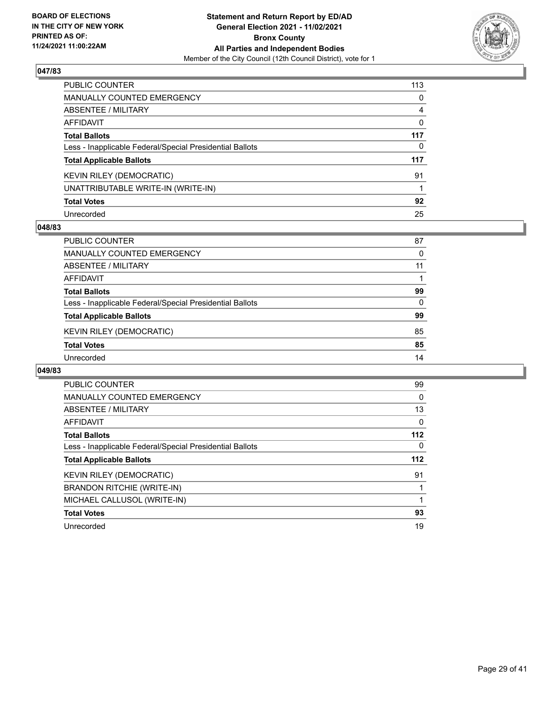

| PUBLIC COUNTER                                           | 113          |
|----------------------------------------------------------|--------------|
| MANUALLY COUNTED EMERGENCY                               | 0            |
| ABSENTEE / MILITARY                                      | 4            |
| AFFIDAVIT                                                | $\mathbf{0}$ |
| Total Ballots                                            | 117          |
| Less - Inapplicable Federal/Special Presidential Ballots | $\mathbf{0}$ |
| <b>Total Applicable Ballots</b>                          | 117          |
| KEVIN RILEY (DEMOCRATIC)                                 | 91           |
| UNATTRIBUTABLE WRITE-IN (WRITE-IN)                       |              |
| <b>Total Votes</b>                                       | 92           |
| Unrecorded                                               | 25           |

# **048/83**

| <b>PUBLIC COUNTER</b>                                    | 87       |
|----------------------------------------------------------|----------|
| MANUALLY COUNTED EMERGENCY                               | 0        |
| ABSENTEE / MILITARY                                      | 11       |
| AFFIDAVIT                                                |          |
| <b>Total Ballots</b>                                     | 99       |
| Less - Inapplicable Federal/Special Presidential Ballots | $\Omega$ |
| <b>Total Applicable Ballots</b>                          | 99       |
| KEVIN RILEY (DEMOCRATIC)                                 | 85       |
| <b>Total Votes</b>                                       | 85       |
| Unrecorded                                               | 14       |

| PUBLIC COUNTER                                           | 99  |
|----------------------------------------------------------|-----|
| <b>MANUALLY COUNTED EMERGENCY</b>                        | 0   |
| ABSENTEE / MILITARY                                      | 13  |
| AFFIDAVIT                                                | 0   |
| <b>Total Ballots</b>                                     | 112 |
| Less - Inapplicable Federal/Special Presidential Ballots | 0   |
| <b>Total Applicable Ballots</b>                          | 112 |
| <b>KEVIN RILEY (DEMOCRATIC)</b>                          | 91  |
| <b>BRANDON RITCHIE (WRITE-IN)</b>                        |     |
| MICHAEL CALLUSOL (WRITE-IN)                              |     |
| <b>Total Votes</b>                                       | 93  |
| Unrecorded                                               | 19  |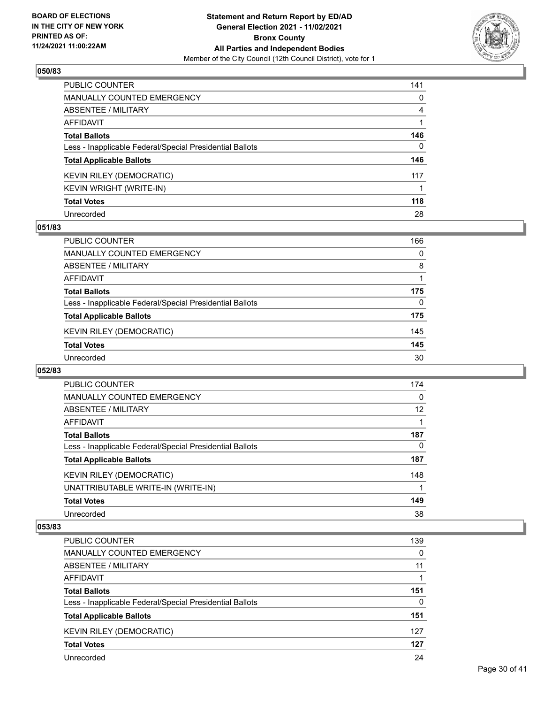

| PUBLIC COUNTER                                           | 141 |
|----------------------------------------------------------|-----|
| MANUALLY COUNTED EMERGENCY                               | 0   |
| ABSENTEE / MILITARY                                      | 4   |
| <b>AFFIDAVIT</b>                                         |     |
| <b>Total Ballots</b>                                     | 146 |
| Less - Inapplicable Federal/Special Presidential Ballots | 0   |
| <b>Total Applicable Ballots</b>                          | 146 |
| KEVIN RILEY (DEMOCRATIC)                                 | 117 |
| KEVIN WRIGHT (WRITE-IN)                                  |     |
| <b>Total Votes</b>                                       | 118 |
| Unrecorded                                               | 28  |

# **051/83**

| <b>PUBLIC COUNTER</b>                                    | 166      |
|----------------------------------------------------------|----------|
| <b>MANUALLY COUNTED EMERGENCY</b>                        | $\Omega$ |
| ABSENTEE / MILITARY                                      | 8        |
| AFFIDAVIT                                                |          |
| <b>Total Ballots</b>                                     | 175      |
| Less - Inapplicable Federal/Special Presidential Ballots | 0        |
| <b>Total Applicable Ballots</b>                          | 175      |
| KEVIN RILEY (DEMOCRATIC)                                 | 145      |
| <b>Total Votes</b>                                       | 145      |
| Unrecorded                                               | 30       |

#### **052/83**

| <b>PUBLIC COUNTER</b>                                    | 174 |
|----------------------------------------------------------|-----|
| <b>MANUALLY COUNTED EMERGENCY</b>                        | 0   |
| ABSENTEE / MILITARY                                      | 12  |
| AFFIDAVIT                                                |     |
| <b>Total Ballots</b>                                     | 187 |
| Less - Inapplicable Federal/Special Presidential Ballots | 0   |
| <b>Total Applicable Ballots</b>                          | 187 |
| <b>KEVIN RILEY (DEMOCRATIC)</b>                          | 148 |
| UNATTRIBUTABLE WRITE-IN (WRITE-IN)                       |     |
| <b>Total Votes</b>                                       | 149 |
| Unrecorded                                               | 38  |

| PUBLIC COUNTER                                           | 139 |
|----------------------------------------------------------|-----|
| MANUALLY COUNTED EMERGENCY                               | 0   |
| ABSENTEE / MILITARY                                      | 11  |
| AFFIDAVIT                                                |     |
| <b>Total Ballots</b>                                     | 151 |
| Less - Inapplicable Federal/Special Presidential Ballots | 0   |
| <b>Total Applicable Ballots</b>                          | 151 |
| KEVIN RILEY (DEMOCRATIC)                                 | 127 |
| <b>Total Votes</b>                                       | 127 |
| Unrecorded                                               | 24  |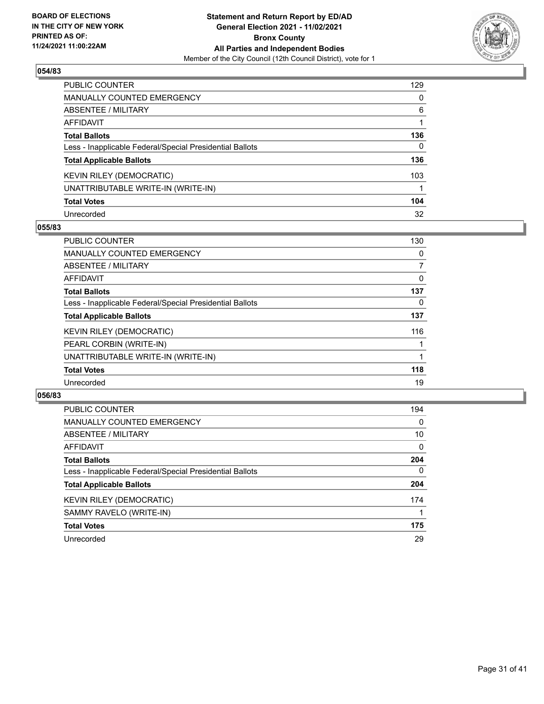

| PUBLIC COUNTER                                           | 129 |
|----------------------------------------------------------|-----|
| <b>MANUALLY COUNTED EMERGENCY</b>                        | 0   |
| <b>ABSENTEE / MILITARY</b>                               | 6   |
| AFFIDAVIT                                                |     |
| <b>Total Ballots</b>                                     | 136 |
| Less - Inapplicable Federal/Special Presidential Ballots | 0   |
| <b>Total Applicable Ballots</b>                          | 136 |
| KEVIN RILEY (DEMOCRATIC)                                 | 103 |
| UNATTRIBUTABLE WRITE-IN (WRITE-IN)                       |     |
| <b>Total Votes</b>                                       | 104 |
| Unrecorded                                               | 32  |

# **055/83**

| <b>PUBLIC COUNTER</b>                                    | 130 |
|----------------------------------------------------------|-----|
| <b>MANUALLY COUNTED EMERGENCY</b>                        | 0   |
| ABSENTEE / MILITARY                                      | 7   |
| AFFIDAVIT                                                | 0   |
| <b>Total Ballots</b>                                     | 137 |
| Less - Inapplicable Federal/Special Presidential Ballots | 0   |
| <b>Total Applicable Ballots</b>                          | 137 |
| <b>KEVIN RILEY (DEMOCRATIC)</b>                          | 116 |
| PEARL CORBIN (WRITE-IN)                                  |     |
| UNATTRIBUTABLE WRITE-IN (WRITE-IN)                       |     |
| <b>Total Votes</b>                                       | 118 |
| Unrecorded                                               | 19  |

| <b>PUBLIC COUNTER</b>                                    | 194      |
|----------------------------------------------------------|----------|
| <b>MANUALLY COUNTED EMERGENCY</b>                        | $\Omega$ |
| ABSENTEE / MILITARY                                      | 10       |
| AFFIDAVIT                                                | $\Omega$ |
| <b>Total Ballots</b>                                     | 204      |
| Less - Inapplicable Federal/Special Presidential Ballots | $\Omega$ |
| <b>Total Applicable Ballots</b>                          | 204      |
| <b>KEVIN RILEY (DEMOCRATIC)</b>                          | 174      |
| SAMMY RAVELO (WRITE-IN)                                  |          |
| <b>Total Votes</b>                                       | 175      |
| Unrecorded                                               | 29       |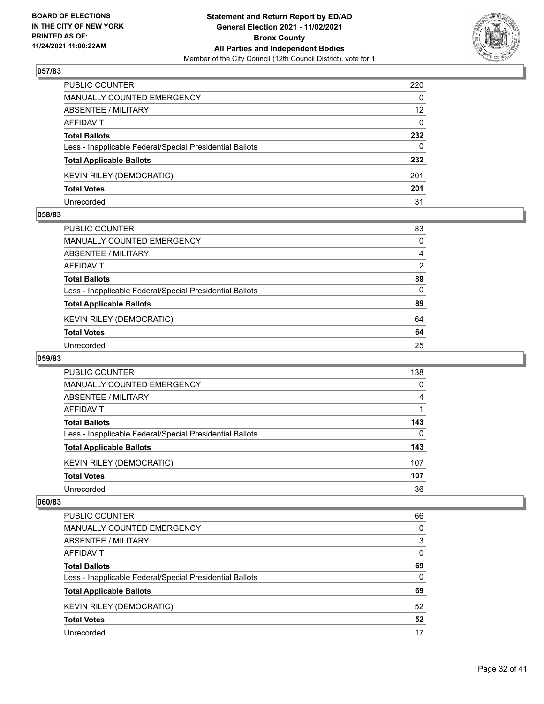

| <b>PUBLIC COUNTER</b>                                    | 220      |
|----------------------------------------------------------|----------|
| MANUALLY COUNTED EMERGENCY                               | $\Omega$ |
| <b>ABSENTEE / MILITARY</b>                               | 12       |
| AFFIDAVIT                                                | $\Omega$ |
| <b>Total Ballots</b>                                     | 232      |
| Less - Inapplicable Federal/Special Presidential Ballots | 0        |
| <b>Total Applicable Ballots</b>                          | 232      |
| <b>KEVIN RILEY (DEMOCRATIC)</b>                          | 201      |
| <b>Total Votes</b>                                       | 201      |
| Unrecorded                                               | 31       |

## **058/83**

| PUBLIC COUNTER                                           | 83       |
|----------------------------------------------------------|----------|
| <b>MANUALLY COUNTED EMERGENCY</b>                        | $\Omega$ |
| ABSENTEE / MILITARY                                      | 4        |
| <b>AFFIDAVIT</b>                                         | 2        |
| <b>Total Ballots</b>                                     | 89       |
| Less - Inapplicable Federal/Special Presidential Ballots | $\Omega$ |
| <b>Total Applicable Ballots</b>                          | 89       |
| <b>KEVIN RILEY (DEMOCRATIC)</b>                          | 64       |
| <b>Total Votes</b>                                       | 64       |
| Unrecorded                                               | 25       |
|                                                          |          |

# **059/83**

| <b>PUBLIC COUNTER</b>                                    | 138      |
|----------------------------------------------------------|----------|
| <b>MANUALLY COUNTED EMERGENCY</b>                        | $\Omega$ |
| ABSENTEE / MILITARY                                      | 4        |
| AFFIDAVIT                                                |          |
| <b>Total Ballots</b>                                     | 143      |
| Less - Inapplicable Federal/Special Presidential Ballots | 0        |
| <b>Total Applicable Ballots</b>                          | 143      |
| KEVIN RILEY (DEMOCRATIC)                                 | 107      |
| <b>Total Votes</b>                                       | 107      |
| Unrecorded                                               | 36       |

| <b>PUBLIC COUNTER</b>                                    | 66 |
|----------------------------------------------------------|----|
| <b>MANUALLY COUNTED EMERGENCY</b>                        | 0  |
| ABSENTEE / MILITARY                                      | 3  |
| AFFIDAVIT                                                | 0  |
| <b>Total Ballots</b>                                     | 69 |
| Less - Inapplicable Federal/Special Presidential Ballots | 0  |
| <b>Total Applicable Ballots</b>                          | 69 |
| KEVIN RILEY (DEMOCRATIC)                                 | 52 |
| <b>Total Votes</b>                                       | 52 |
| Unrecorded                                               | 17 |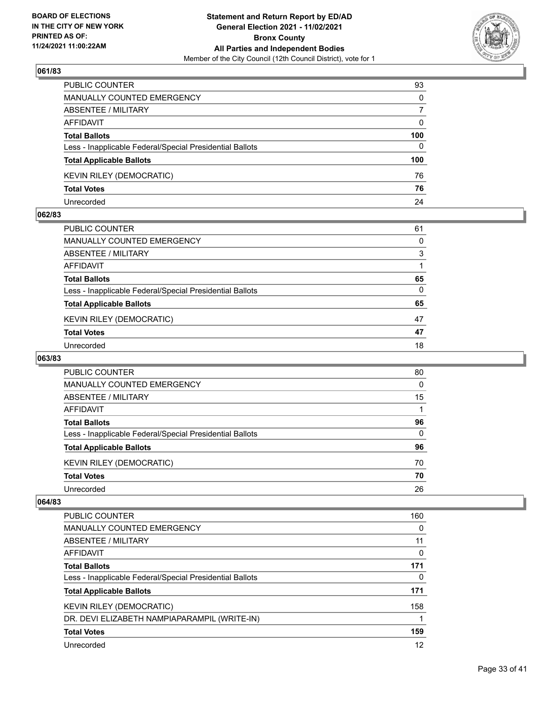

| PUBLIC COUNTER                                           | 93       |
|----------------------------------------------------------|----------|
| MANUALLY COUNTED EMERGENCY                               | $\Omega$ |
| ABSENTEE / MILITARY                                      |          |
| AFFIDAVIT                                                | 0        |
| <b>Total Ballots</b>                                     | 100      |
| Less - Inapplicable Federal/Special Presidential Ballots | 0        |
| <b>Total Applicable Ballots</b>                          | 100      |
| <b>KEVIN RILEY (DEMOCRATIC)</b>                          | 76       |
| <b>Total Votes</b>                                       | 76       |
| Unrecorded                                               | 24       |

## **062/83**

| 61       |
|----------|
| $\Omega$ |
| 3        |
|          |
| 65       |
| $\Omega$ |
| 65       |
| 47       |
| 47       |
| 18       |
|          |

# **063/83**

| PUBLIC COUNTER                                           | 80 |
|----------------------------------------------------------|----|
| MANUALLY COUNTED EMERGENCY                               | 0  |
| ABSENTEE / MILITARY                                      | 15 |
| AFFIDAVIT                                                |    |
| <b>Total Ballots</b>                                     | 96 |
| Less - Inapplicable Federal/Special Presidential Ballots | 0  |
| <b>Total Applicable Ballots</b>                          | 96 |
| KEVIN RILEY (DEMOCRATIC)                                 | 70 |
| <b>Total Votes</b>                                       | 70 |
| Unrecorded                                               | 26 |

| <b>PUBLIC COUNTER</b>                                    | 160      |
|----------------------------------------------------------|----------|
| <b>MANUALLY COUNTED EMERGENCY</b>                        | $\Omega$ |
| ABSENTEE / MILITARY                                      | 11       |
| AFFIDAVIT                                                | 0        |
| <b>Total Ballots</b>                                     | 171      |
| Less - Inapplicable Federal/Special Presidential Ballots | 0        |
| <b>Total Applicable Ballots</b>                          | 171      |
| <b>KEVIN RILEY (DEMOCRATIC)</b>                          | 158      |
| DR. DEVI ELIZABETH NAMPIAPARAMPIL (WRITE-IN)             |          |
| <b>Total Votes</b>                                       | 159      |
| Unrecorded                                               | 12       |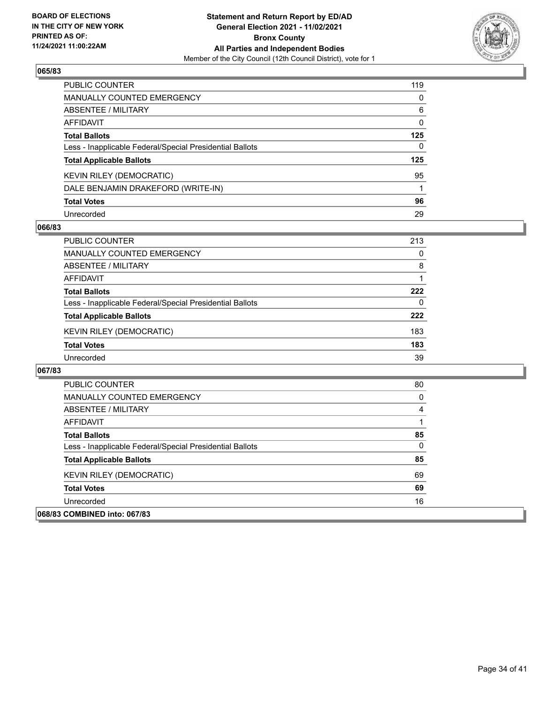

| PUBLIC COUNTER                                           | 119          |
|----------------------------------------------------------|--------------|
| <b>MANUALLY COUNTED EMERGENCY</b>                        | $\mathbf{0}$ |
| <b>ABSENTEE / MILITARY</b>                               | 6            |
| AFFIDAVIT                                                | $\mathbf{0}$ |
| <b>Total Ballots</b>                                     | 125          |
| Less - Inapplicable Federal/Special Presidential Ballots | $\mathbf{0}$ |
| <b>Total Applicable Ballots</b>                          | 125          |
| KEVIN RILEY (DEMOCRATIC)                                 | 95           |
| DALE BENJAMIN DRAKEFORD (WRITE-IN)                       |              |
| <b>Total Votes</b>                                       | 96           |
| Unrecorded                                               | 29           |

# **066/83**

| <b>PUBLIC COUNTER</b>                                    | 213 |
|----------------------------------------------------------|-----|
| <b>MANUALLY COUNTED EMERGENCY</b>                        | 0   |
| ABSENTEE / MILITARY                                      | 8   |
| AFFIDAVIT                                                |     |
| <b>Total Ballots</b>                                     | 222 |
| Less - Inapplicable Federal/Special Presidential Ballots | 0   |
| <b>Total Applicable Ballots</b>                          | 222 |
| KEVIN RILEY (DEMOCRATIC)                                 | 183 |
| <b>Total Votes</b>                                       | 183 |
| Unrecorded                                               | 39  |

| <b>PUBLIC COUNTER</b>                                    | 80 |
|----------------------------------------------------------|----|
| MANUALLY COUNTED EMERGENCY                               | 0  |
| ABSENTEE / MILITARY                                      | 4  |
| AFFIDAVIT                                                |    |
| <b>Total Ballots</b>                                     | 85 |
| Less - Inapplicable Federal/Special Presidential Ballots | 0  |
| <b>Total Applicable Ballots</b>                          | 85 |
| <b>KEVIN RILEY (DEMOCRATIC)</b>                          | 69 |
| <b>Total Votes</b>                                       | 69 |
| Unrecorded                                               | 16 |
| 068/83 COMBINED into: 067/83                             |    |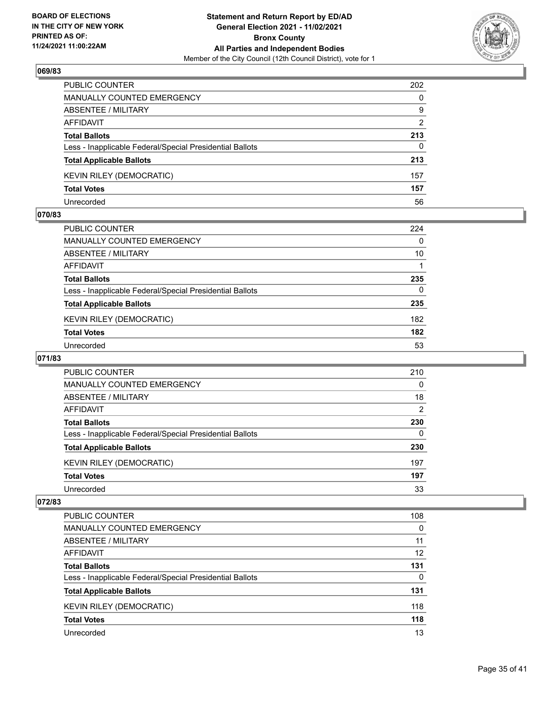

| PUBLIC COUNTER                                           | 202           |
|----------------------------------------------------------|---------------|
| <b>MANUALLY COUNTED EMERGENCY</b>                        | 0             |
| ABSENTEE / MILITARY                                      | 9             |
| AFFIDAVIT                                                | $\mathcal{P}$ |
| <b>Total Ballots</b>                                     | 213           |
| Less - Inapplicable Federal/Special Presidential Ballots | 0             |
| <b>Total Applicable Ballots</b>                          | 213           |
| <b>KEVIN RILEY (DEMOCRATIC)</b>                          | 157           |
| <b>Total Votes</b>                                       | 157           |
| Unrecorded                                               | 56            |

## **070/83**

| PUBLIC COUNTER                                           | 224      |
|----------------------------------------------------------|----------|
| <b>MANUALLY COUNTED EMERGENCY</b>                        | 0        |
| ABSENTEE / MILITARY                                      | 10       |
| AFFIDAVIT                                                |          |
| <b>Total Ballots</b>                                     | 235      |
| Less - Inapplicable Federal/Special Presidential Ballots | $\Omega$ |
| <b>Total Applicable Ballots</b>                          | 235      |
| <b>KEVIN RILEY (DEMOCRATIC)</b>                          | 182      |
| <b>Total Votes</b>                                       | 182      |
| Unrecorded                                               | 53       |
|                                                          |          |

# **071/83**

| <b>PUBLIC COUNTER</b>                                    | 210           |
|----------------------------------------------------------|---------------|
| <b>MANUALLY COUNTED EMERGENCY</b>                        | $\Omega$      |
| ABSENTEE / MILITARY                                      | 18            |
| AFFIDAVIT                                                | $\mathcal{P}$ |
| <b>Total Ballots</b>                                     | 230           |
| Less - Inapplicable Federal/Special Presidential Ballots | 0             |
| <b>Total Applicable Ballots</b>                          | 230           |
| KEVIN RILEY (DEMOCRATIC)                                 | 197           |
| <b>Total Votes</b>                                       | 197           |
| Unrecorded                                               | 33            |

| <b>PUBLIC COUNTER</b>                                    | 108      |
|----------------------------------------------------------|----------|
| <b>MANUALLY COUNTED EMERGENCY</b>                        | $\Omega$ |
| ABSENTEE / MILITARY                                      | 11       |
| AFFIDAVIT                                                | 12       |
| <b>Total Ballots</b>                                     | 131      |
| Less - Inapplicable Federal/Special Presidential Ballots | 0        |
| <b>Total Applicable Ballots</b>                          | 131      |
| KEVIN RILEY (DEMOCRATIC)                                 | 118      |
| <b>Total Votes</b>                                       | 118      |
| Unrecorded                                               | 13       |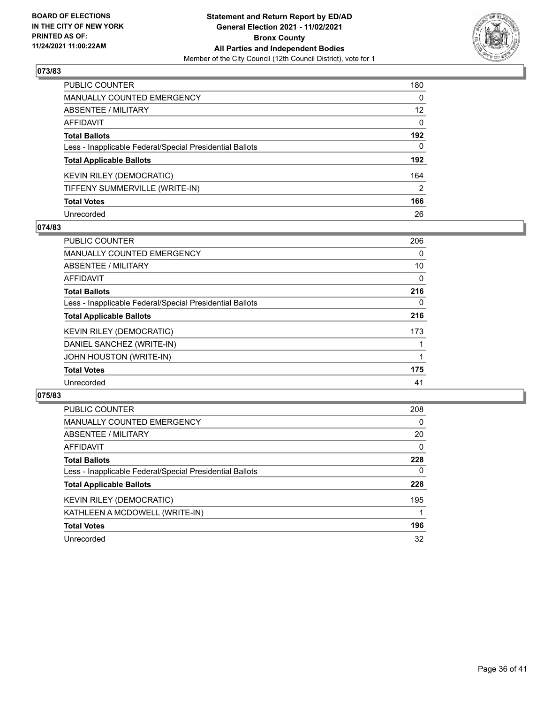

| PUBLIC COUNTER                                           | 180               |
|----------------------------------------------------------|-------------------|
| <b>MANUALLY COUNTED EMERGENCY</b>                        | 0                 |
| <b>ABSENTEE / MILITARY</b>                               | $12 \overline{ }$ |
| AFFIDAVIT                                                | $\Omega$          |
| <b>Total Ballots</b>                                     | 192               |
| Less - Inapplicable Federal/Special Presidential Ballots | 0                 |
| <b>Total Applicable Ballots</b>                          | 192               |
| <b>KEVIN RILEY (DEMOCRATIC)</b>                          | 164               |
| TIFFENY SUMMERVILLE (WRITE-IN)                           | $\overline{2}$    |
| <b>Total Votes</b>                                       | 166               |
| Unrecorded                                               | 26                |

## **074/83**

| <b>PUBLIC COUNTER</b>                                    | 206      |
|----------------------------------------------------------|----------|
| <b>MANUALLY COUNTED EMERGENCY</b>                        | $\Omega$ |
| ABSENTEE / MILITARY                                      | 10       |
| <b>AFFIDAVIT</b>                                         | 0        |
| <b>Total Ballots</b>                                     | 216      |
| Less - Inapplicable Federal/Special Presidential Ballots | $\Omega$ |
| <b>Total Applicable Ballots</b>                          | 216      |
| <b>KEVIN RILEY (DEMOCRATIC)</b>                          | 173      |
| DANIEL SANCHEZ (WRITE-IN)                                |          |
| JOHN HOUSTON (WRITE-IN)                                  |          |
| <b>Total Votes</b>                                       | 175      |
| Unrecorded                                               | 41       |

| <b>PUBLIC COUNTER</b>                                    | 208      |
|----------------------------------------------------------|----------|
| MANUALLY COUNTED EMERGENCY                               | $\Omega$ |
| ABSENTEE / MILITARY                                      | 20       |
| AFFIDAVIT                                                | $\Omega$ |
| <b>Total Ballots</b>                                     | 228      |
| Less - Inapplicable Federal/Special Presidential Ballots | $\Omega$ |
| <b>Total Applicable Ballots</b>                          | 228      |
| <b>KEVIN RILEY (DEMOCRATIC)</b>                          | 195      |
| KATHLEEN A MCDOWELL (WRITE-IN)                           |          |
| <b>Total Votes</b>                                       | 196      |
| Unrecorded                                               | 32       |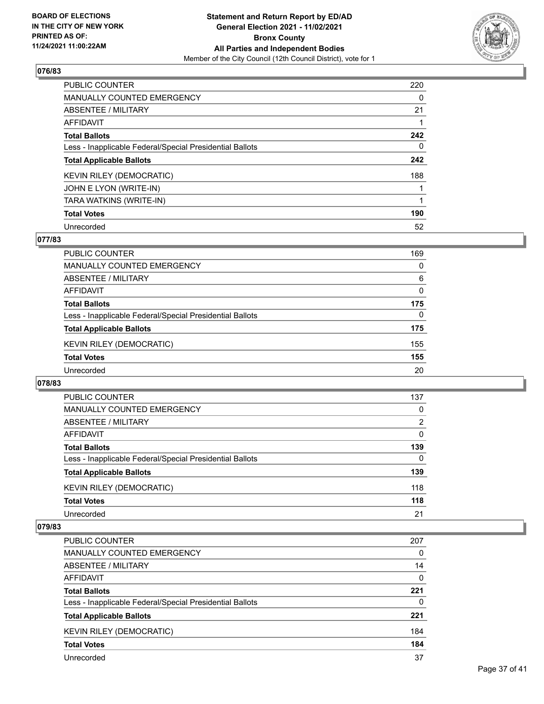

| <b>PUBLIC COUNTER</b>                                    | 220 |
|----------------------------------------------------------|-----|
| <b>MANUALLY COUNTED EMERGENCY</b>                        | 0   |
| ABSENTEE / MILITARY                                      | 21  |
| AFFIDAVIT                                                |     |
| <b>Total Ballots</b>                                     | 242 |
| Less - Inapplicable Federal/Special Presidential Ballots | 0   |
| <b>Total Applicable Ballots</b>                          | 242 |
| <b>KEVIN RILEY (DEMOCRATIC)</b>                          | 188 |
| JOHN E LYON (WRITE-IN)                                   |     |
| TARA WATKINS (WRITE-IN)                                  |     |
| <b>Total Votes</b>                                       | 190 |
| Unrecorded                                               | 52  |

# **077/83**

| <b>PUBLIC COUNTER</b>                                    | 169      |
|----------------------------------------------------------|----------|
| MANUALLY COUNTED EMERGENCY                               | 0        |
| ABSENTEE / MILITARY                                      | 6        |
| AFFIDAVIT                                                | $\Omega$ |
| <b>Total Ballots</b>                                     | 175      |
| Less - Inapplicable Federal/Special Presidential Ballots | $\Omega$ |
| <b>Total Applicable Ballots</b>                          | 175      |
| KEVIN RILEY (DEMOCRATIC)                                 | 155      |
| <b>Total Votes</b>                                       | 155      |
| Unrecorded                                               | 20       |
|                                                          |          |

## **078/83**

| PUBLIC COUNTER                                           | 137      |
|----------------------------------------------------------|----------|
| MANUALLY COUNTED EMERGENCY                               | $\Omega$ |
| ABSENTEE / MILITARY                                      | 2        |
| AFFIDAVIT                                                | $\Omega$ |
| <b>Total Ballots</b>                                     | 139      |
| Less - Inapplicable Federal/Special Presidential Ballots | $\Omega$ |
| <b>Total Applicable Ballots</b>                          | 139      |
| <b>KEVIN RILEY (DEMOCRATIC)</b>                          | 118      |
| <b>Total Votes</b>                                       | 118      |
| Unrecorded                                               | 21       |

| <b>PUBLIC COUNTER</b>                                    | 207 |
|----------------------------------------------------------|-----|
| MANUALLY COUNTED EMERGENCY                               | 0   |
| ABSENTEE / MILITARY                                      | 14  |
| AFFIDAVIT                                                | 0   |
| <b>Total Ballots</b>                                     | 221 |
| Less - Inapplicable Federal/Special Presidential Ballots | 0   |
| <b>Total Applicable Ballots</b>                          | 221 |
| <b>KEVIN RILEY (DEMOCRATIC)</b>                          | 184 |
| <b>Total Votes</b>                                       | 184 |
| Unrecorded                                               | 37  |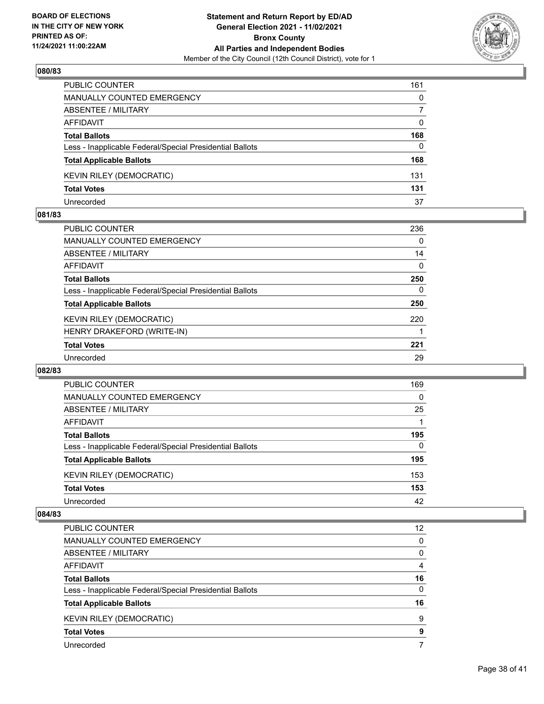

| PUBLIC COUNTER                                           | 161      |
|----------------------------------------------------------|----------|
| MANUALLY COUNTED EMERGENCY                               | 0        |
| ABSENTEE / MILITARY                                      |          |
| AFFIDAVIT                                                | 0        |
| <b>Total Ballots</b>                                     | 168      |
| Less - Inapplicable Federal/Special Presidential Ballots | $\Omega$ |
| <b>Total Applicable Ballots</b>                          | 168      |
| <b>KEVIN RILEY (DEMOCRATIC)</b>                          | 131      |
| <b>Total Votes</b>                                       | 131      |
| Unrecorded                                               | 37       |

## **081/83**

| <b>PUBLIC COUNTER</b>                                    | 236      |
|----------------------------------------------------------|----------|
| <b>MANUALLY COUNTED EMERGENCY</b>                        | $\Omega$ |
| ABSENTEE / MILITARY                                      | 14       |
| AFFIDAVIT                                                | $\Omega$ |
| <b>Total Ballots</b>                                     | 250      |
| Less - Inapplicable Federal/Special Presidential Ballots | $\Omega$ |
| <b>Total Applicable Ballots</b>                          | 250      |
| <b>KEVIN RILEY (DEMOCRATIC)</b>                          | 220      |
| HENRY DRAKEFORD (WRITE-IN)                               |          |
| <b>Total Votes</b>                                       | 221      |
| Unrecorded                                               | 29       |
|                                                          |          |

## **082/83**

| PUBLIC COUNTER                                           | 169      |
|----------------------------------------------------------|----------|
| <b>MANUALLY COUNTED EMERGENCY</b>                        | 0        |
| ABSENTEE / MILITARY                                      | 25       |
| AFFIDAVIT                                                |          |
| <b>Total Ballots</b>                                     | 195      |
| Less - Inapplicable Federal/Special Presidential Ballots | $\Omega$ |
| <b>Total Applicable Ballots</b>                          | 195      |
| <b>KEVIN RILEY (DEMOCRATIC)</b>                          | 153      |
| <b>Total Votes</b>                                       | 153      |
| Unrecorded                                               | 42       |

| <b>PUBLIC COUNTER</b>                                    | 12 <sup>2</sup> |
|----------------------------------------------------------|-----------------|
| <b>MANUALLY COUNTED EMERGENCY</b>                        | $\Omega$        |
| ABSENTEE / MILITARY                                      | 0               |
| AFFIDAVIT                                                | 4               |
| <b>Total Ballots</b>                                     | 16              |
| Less - Inapplicable Federal/Special Presidential Ballots | $\Omega$        |
| <b>Total Applicable Ballots</b>                          | 16              |
| KEVIN RILEY (DEMOCRATIC)                                 | 9               |
| <b>Total Votes</b>                                       | 9               |
| Unrecorded                                               |                 |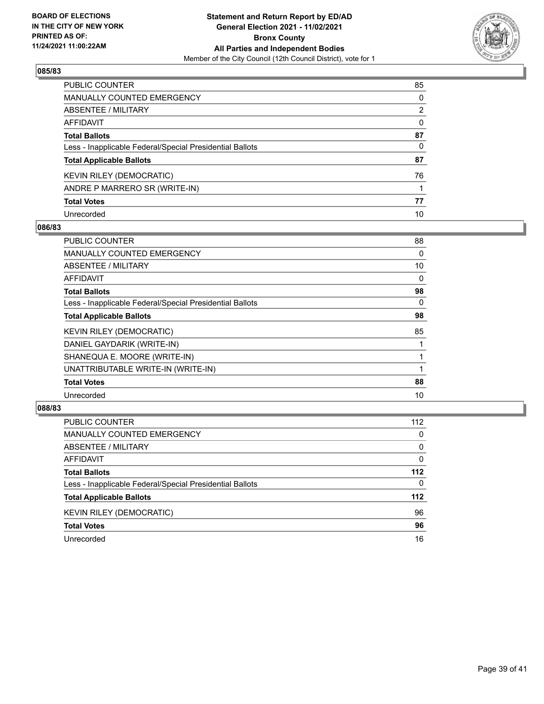

| PUBLIC COUNTER                                           | 85 |
|----------------------------------------------------------|----|
| MANUALLY COUNTED EMERGENCY                               | 0  |
| ABSENTEE / MILITARY                                      | 2  |
| AFFIDAVIT                                                | 0  |
| Total Ballots                                            | 87 |
| Less - Inapplicable Federal/Special Presidential Ballots | 0  |
| <b>Total Applicable Ballots</b>                          | 87 |
| KEVIN RILEY (DEMOCRATIC)                                 | 76 |
| ANDRE P MARRERO SR (WRITE-IN)                            |    |
| <b>Total Votes</b>                                       | 77 |
| Unrecorded                                               | 10 |

# **086/83**

| <b>PUBLIC COUNTER</b>                                    | 88 |
|----------------------------------------------------------|----|
| <b>MANUALLY COUNTED EMERGENCY</b>                        | 0  |
| ABSENTEE / MILITARY                                      | 10 |
| <b>AFFIDAVIT</b>                                         | 0  |
| <b>Total Ballots</b>                                     | 98 |
| Less - Inapplicable Federal/Special Presidential Ballots | 0  |
| <b>Total Applicable Ballots</b>                          | 98 |
| <b>KEVIN RILEY (DEMOCRATIC)</b>                          | 85 |
| DANIEL GAYDARIK (WRITE-IN)                               |    |
| SHANEQUA E. MOORE (WRITE-IN)                             |    |
| UNATTRIBUTABLE WRITE-IN (WRITE-IN)                       |    |
| <b>Total Votes</b>                                       | 88 |
| Unrecorded                                               | 10 |

| <b>PUBLIC COUNTER</b>                                    | 112      |
|----------------------------------------------------------|----------|
| MANUALLY COUNTED EMERGENCY                               | $\Omega$ |
| ABSENTEE / MILITARY                                      | $\Omega$ |
| AFFIDAVIT                                                | $\Omega$ |
| <b>Total Ballots</b>                                     | 112      |
| Less - Inapplicable Federal/Special Presidential Ballots | 0        |
| <b>Total Applicable Ballots</b>                          | 112      |
| <b>KEVIN RILEY (DEMOCRATIC)</b>                          | 96       |
| <b>Total Votes</b>                                       | 96       |
| Unrecorded                                               | 16       |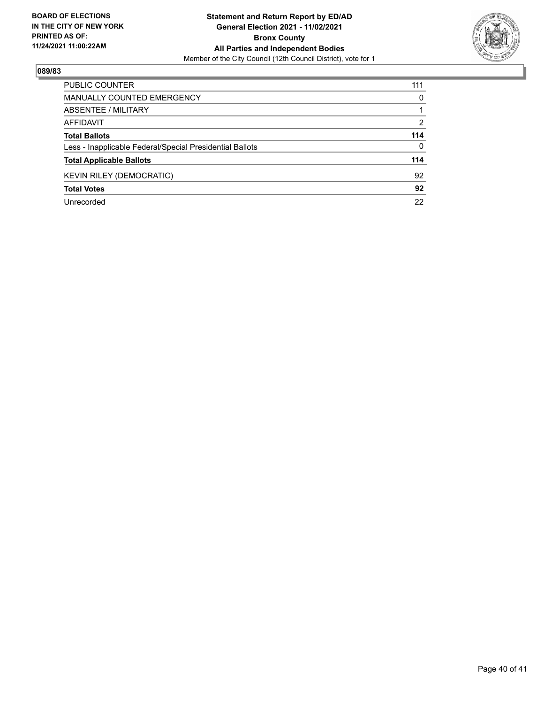

| PUBLIC COUNTER                                           | 111      |
|----------------------------------------------------------|----------|
| <b>MANUALLY COUNTED EMERGENCY</b>                        | 0        |
| ABSENTEE / MILITARY                                      |          |
| AFFIDAVIT                                                | 2        |
| <b>Total Ballots</b>                                     | 114      |
| Less - Inapplicable Federal/Special Presidential Ballots | $\Omega$ |
| <b>Total Applicable Ballots</b>                          | 114      |
| <b>KEVIN RILEY (DEMOCRATIC)</b>                          | 92       |
| <b>Total Votes</b>                                       | 92       |
| Unrecorded                                               | 22       |